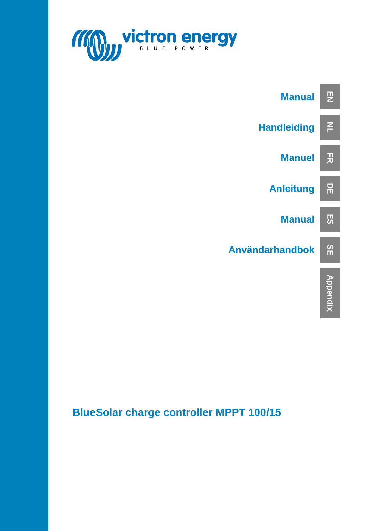



### **BlueSolar charge controller MPPT 100/15**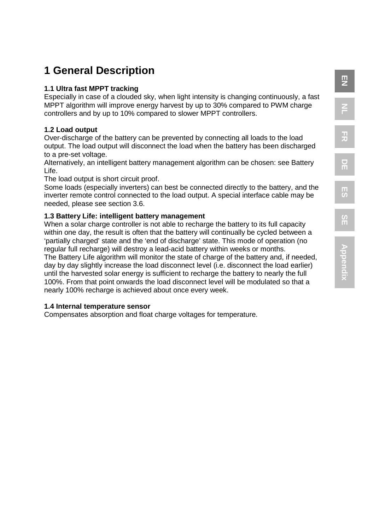# **EN NL**

**FR**

### **1 General Description**

#### **1.1 Ultra fast MPPT tracking**

Especially in case of a clouded sky, when light intensity is changing continuously, a fast MPPT algorithm will improve energy harvest by up to 30% compared to PWM charge controllers and by up to 10% compared to slower MPPT controllers.

#### **1.2 Load output**

Over-discharge of the battery can be prevented by connecting all loads to the load output. The load output will disconnect the load when the battery has been discharged to a pre-set voltage.

Alternatively, an intelligent battery management algorithm can be chosen: see Battery Life.

The load output is short circuit proof.

Some loads (especially inverters) can best be connected directly to the battery, and the inverter remote control connected to the load output. A special interface cable may be needed, please see section 3.6.

### **1.3 Battery Life: intelligent battery management**

When a solar charge controller is not able to recharge the battery to its full capacity within one day, the result is often that the battery will continually be cycled between a 'partially charged' state and the 'end of discharge' state. This mode of operation (no regular full recharge) will destroy a lead-acid battery within weeks or months.

The Battery Life algorithm will monitor the state of charge of the battery and, if needed, day by day slightly increase the load disconnect level (i.e. disconnect the load earlier) until the harvested solar energy is sufficient to recharge the battery to nearly the full 100%. From that point onwards the load disconnect level will be modulated so that a nearly 100% recharge is achieved about once every week.

#### **1.4 Internal temperature sensor**

Compensates absorption and float charge voltages for temperature.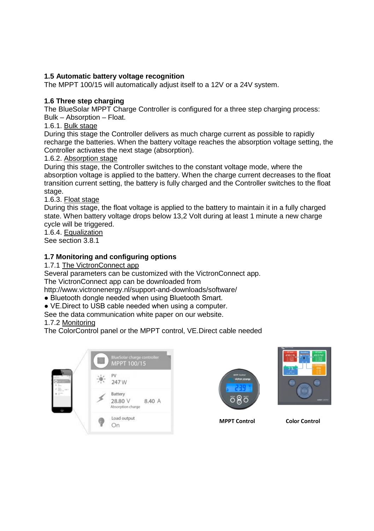#### **1.5 Automatic battery voltage recognition**

The MPPT 100/15 will automatically adjust itself to a 12V or a 24V system.

#### **1.6 Three step charging**

The BlueSolar MPPT Charge Controller is configured for a three step charging process: Bulk – Absorption – Float.

#### 1.6.1. Bulk stage

During this stage the Controller delivers as much charge current as possible to rapidly recharge the batteries. When the battery voltage reaches the absorption voltage setting, the Controller activates the next stage (absorption).

#### 1.6.2. Absorption stage

During this stage, the Controller switches to the constant voltage mode, where the absorption voltage is applied to the battery. When the charge current decreases to the float transition current setting, the battery is fully charged and the Controller switches to the float stage.

#### 1.6.3. Float stage

During this stage, the float voltage is applied to the battery to maintain it in a fully charged state. When battery voltage drops below 13,2 Volt during at least 1 minute a new charge cycle will be triggered.

1.6.4. Equalization See section 3.8.1

#### **1.7 Monitoring and configuring options**

1.7.1 The VictronConnect app

Several parameters can be customized with the VictronConnect app. The VictronConnect app can be downloaded from

http://www.victronenergy.nl/support-and-downloads/software/

- Bluetooth dongle needed when using Bluetooth Smart.
- VE.Direct to USB cable needed when using a computer.
- See the data communication white paper on our website.
- 1.7.2 Monitoring

The ColorControl panel or the MPPT control, VE.Direct cable needed







**MPPT Control Color Control**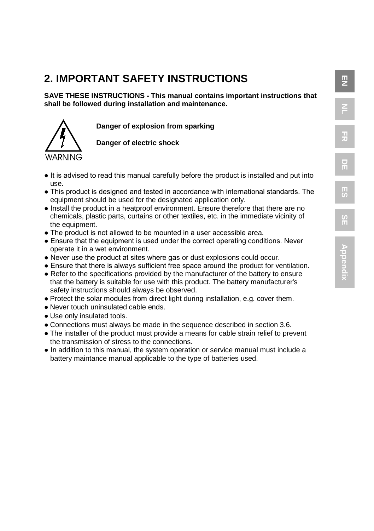### **2. IMPORTANT SAFETY INSTRUCTIONS**

**SAVE THESE INSTRUCTIONS - This manual contains important instructions that shall be followed during installation and maintenance.**

**Danger of explosion from sparking**

**Danger of electric shock**

- It is advised to read this manual carefully before the product is installed and put into use.
- This product is designed and tested in accordance with international standards. The equipment should be used for the designated application only.
- Install the product in a heatproof environment. Ensure therefore that there are no chemicals, plastic parts, curtains or other textiles, etc. in the immediate vicinity of the equipment.
- The product is not allowed to be mounted in a user accessible area.
- Ensure that the equipment is used under the correct operating conditions. Never operate it in a wet environment.
- Never use the product at sites where gas or dust explosions could occur.
- Ensure that there is always sufficient free space around the product for ventilation.
- Refer to the specifications provided by the manufacturer of the battery to ensure that the battery is suitable for use with this product. The battery manufacturer's safety instructions should always be observed.
- Protect the solar modules from direct light during installation, e.g. cover them.
- Never touch uninsulated cable ends.
- Use only insulated tools.
- Connections must always be made in the sequence described in section 3.6.
- The installer of the product must provide a means for cable strain relief to prevent the transmission of stress to the connections.
- **●** In addition to this manual, the system operation or service manual must include a battery maintance manual applicable to the type of batteries used.

 $\overline{\mathbf{E}}$ 

**NL**

**FR**

**DE**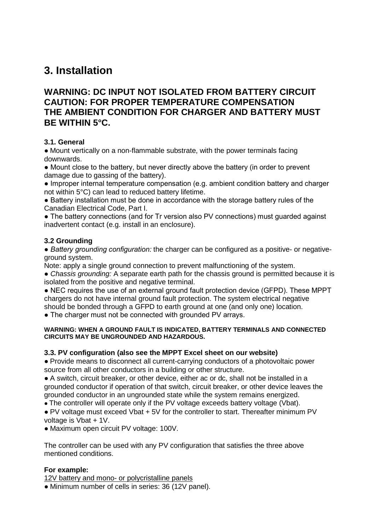### **3. Installation**

#### **WARNING: DC INPUT NOT ISOLATED FROM BATTERY CIRCUIT CAUTION: FOR PROPER TEMPERATURE COMPENSATION THE AMBIENT CONDITION FOR CHARGER AND BATTERY MUST BE WITHIN 5°C.**

#### **3.1. General**

● Mount vertically on a non-flammable substrate, with the power terminals facing downwards.

● Mount close to the battery, but never directly above the battery (in order to prevent damage due to gassing of the battery).

● Improper internal temperature compensation (e.g. ambient condition battery and charger not within 5°C) can lead to reduced battery lifetime.

● Battery installation must be done in accordance with the storage battery rules of the Canadian Electrical Code, Part I.

• The battery connections (and for Tr version also PV connections) must guarded against inadvertent contact (e.g. install in an enclosure).

#### **3.2 Grounding**

*● Battery grounding configuration:* the charger can be configured as a positive- or negativeground system.

Note: apply a single ground connection to prevent malfunctioning of the system.

• *Chassis grounding:* A separate earth path for the chassis ground is permitted because it is isolated from the positive and negative terminal.

● NEC requires the use of an external ground fault protection device (GFPD). These MPPT chargers do not have internal ground fault protection. The system electrical negative should be bonded through a GFPD to earth ground at one (and only one) location.

• The charger must not be connected with grounded PV arrays.

#### **WARNING: WHEN A GROUND FAULT IS INDICATED, BATTERY TERMINALS AND CONNECTED CIRCUITS MAY BE UNGROUNDED AND HAZARDOUS.**

#### **3.3. PV configuration (also see the MPPT Excel sheet on our website)**

● Provide means to disconnect all current-carrying conductors of a photovoltaic power source from all other conductors in a building or other structure.

● A switch, circuit breaker, or other device, either ac or dc, shall not be installed in a grounded conductor if operation of that switch, circuit breaker, or other device leaves the grounded conductor in an ungrounded state while the system remains energized.

• The controller will operate only if the PV voltage exceeds battery voltage (Vbat).

● PV voltage must exceed Vbat + 5V for the controller to start. Thereafter minimum PV voltage is Vbat + 1V.

● Maximum open circuit PV voltage: 100V.

The controller can be used with any PV configuration that satisfies the three above mentioned conditions.

#### **For example:**

12V battery and mono- or polycristalline panels

● Minimum number of cells in series: 36 (12V panel).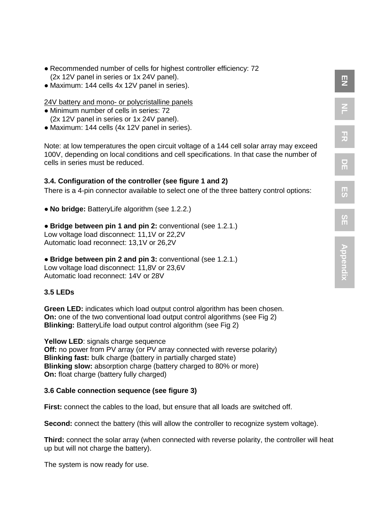- Recommended number of cells for highest controller efficiency: 72 (2x 12V panel in series or 1x 24V panel).
- Maximum: 144 cells 4x 12V panel in series).

24V battery and mono- or polycristalline panels

- Minimum number of cells in series: 72 (2x 12V panel in series or 1x 24V panel).
- Maximum: 144 cells (4x 12V panel in series).

Note: at low temperatures the open circuit voltage of a 144 cell solar array may exceed 100V, depending on local conditions and cell specifications. In that case the number of cells in series must be reduced.

 $\overline{2}$ 

**NL**

**FR**

**DE**

#### **3.4. Configuration of the controller (see figure 1 and 2)**

There is a 4-pin connector available to select one of the three battery control options:

● **No bridge:** BatteryLife algorithm (see 1.2.2.)

#### ● **Bridge between pin 1 and pin 2:** conventional (see 1.2.1.)

Low voltage load disconnect: 11,1V or 22,2V Automatic load reconnect: 13,1V or 26,2V

#### ● **Bridge between pin 2 and pin 3:** conventional (see 1.2.1.) Low voltage load disconnect: 11,8V or 23,6V

Automatic load reconnect: 14V or 28V

#### **3.5 LEDs**

**Green LED:** indicates which load output control algorithm has been chosen. **On:** one of the two conventional load output control algorithms (see Fig 2) **Blinking:** BatteryLife load output control algorithm (see Fig 2)

**Yellow LED:** signals charge sequence **Off:** no power from PV array (or PV array connected with reverse polarity) **Blinking fast:** bulk charge (battery in partially charged state) **Blinking slow:** absorption charge (battery charged to 80% or more) **On:** float charge (battery fully charged)

#### **3.6 Cable connection sequence (see figure 3)**

**First:** connect the cables to the load, but ensure that all loads are switched off.

**Second:** connect the battery (this will allow the controller to recognize system voltage).

**Third:** connect the solar array (when connected with reverse polarity, the controller will heat up but will not charge the battery).

The system is now ready for use.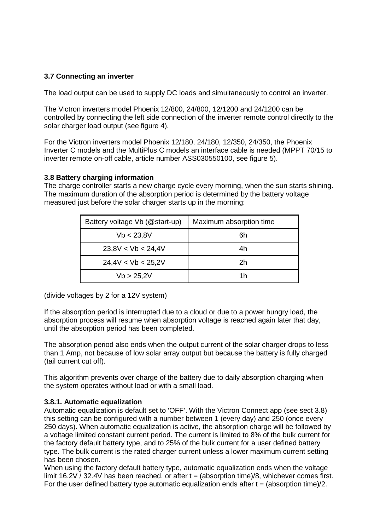#### **3.7 Connecting an inverter**

The load output can be used to supply DC loads and simultaneously to control an inverter.

The Victron inverters model Phoenix 12/800, 24/800, 12/1200 and 24/1200 can be controlled by connecting the left side connection of the inverter remote control directly to the solar charger load output (see figure 4).

For the Victron inverters model Phoenix 12/180, 24/180, 12/350, 24/350, the Phoenix Inverter C models and the MultiPlus C models an interface cable is needed (MPPT 70/15 to inverter remote on-off cable, article number ASS030550100, see figure 5).

#### **3.8 Battery charging information**

The charge controller starts a new charge cycle every morning, when the sun starts shining. The maximum duration of the absorption period is determined by the battery voltage measured just before the solar charger starts up in the morning:

| Battery voltage Vb (@start-up) | Maximum absorption time |
|--------------------------------|-------------------------|
| Vb < 23.8V                     | 6h                      |
| 23.8V < Vb < 24.4V             | 4h                      |
| 24.4V < Vb < 25.2V             | 2h                      |
| Vb > 25.2V                     | 1h                      |

(divide voltages by 2 for a 12V system)

If the absorption period is interrupted due to a cloud or due to a power hungry load, the absorption process will resume when absorption voltage is reached again later that day, until the absorption period has been completed.

The absorption period also ends when the output current of the solar charger drops to less than 1 Amp, not because of low solar array output but because the battery is fully charged (tail current cut off).

This algorithm prevents over charge of the battery due to daily absorption charging when the system operates without load or with a small load.

#### **3.8.1. Automatic equalization**

Automatic equalization is default set to 'OFF'. With the Victron Connect app (see sect 3.8) this setting can be configured with a number between 1 (every day) and 250 (once every 250 days). When automatic equalization is active, the absorption charge will be followed by a voltage limited constant current period. The current is limited to 8% of the bulk current for the factory default battery type, and to 25% of the bulk current for a user defined battery type. The bulk current is the rated charger current unless a lower maximum current setting has been chosen.

When using the factory default battery type, automatic equalization ends when the voltage limit 16.2V / 32.4V has been reached, or after  $t = (ab$ sorption time)/8, whichever comes first. For the user defined battery type automatic equalization ends after  $t = (absorption time)/2$ .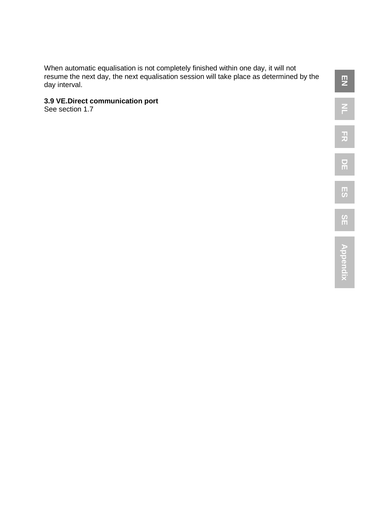When automatic equalisation is not completely finished within one day, it will not resume the next day, the next equalisation session will take place as determined by the day interval.

#### **3.9 VE.Direct communication port**

See section 1.7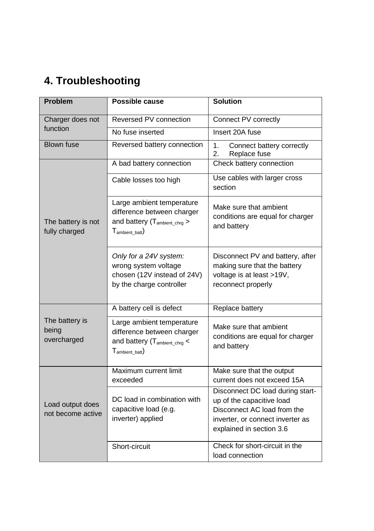### **4. Troubleshooting**

| <b>Problem</b>                         | Possible cause                                                                                                                   | <b>Solution</b>                                                                                                                                              |  |
|----------------------------------------|----------------------------------------------------------------------------------------------------------------------------------|--------------------------------------------------------------------------------------------------------------------------------------------------------------|--|
| Charger does not                       | Reversed PV connection                                                                                                           | Connect PV correctly                                                                                                                                         |  |
| function                               | No fuse inserted                                                                                                                 | Insert 20A fuse                                                                                                                                              |  |
| <b>Blown fuse</b>                      | Reversed battery connection                                                                                                      | 1.<br>Connect battery correctly<br>2.<br>Replace fuse                                                                                                        |  |
|                                        | A bad battery connection                                                                                                         | Check battery connection                                                                                                                                     |  |
|                                        | Cable losses too high                                                                                                            | Use cables with larger cross<br>section                                                                                                                      |  |
| The battery is not<br>fully charged    | Large ambient temperature<br>difference between charger<br>and battery $(T_{\text{ambient\_chrg}})$<br>$T_{\text{ambient bath}}$ | Make sure that ambient<br>conditions are equal for charger<br>and battery                                                                                    |  |
|                                        | Only for a 24V system:<br>wrong system voltage<br>chosen (12V instead of 24V)<br>by the charge controller                        | Disconnect PV and battery, after<br>making sure that the battery<br>voltage is at least >19V,<br>reconnect properly                                          |  |
|                                        | A battery cell is defect                                                                                                         | Replace battery                                                                                                                                              |  |
| The battery is<br>being<br>overcharged | Large ambient temperature<br>difference between charger<br>and battery (T <sub>ambient_chrg</sub> <<br>$T_{\text{ambient bat}}$  | Make sure that ambient<br>conditions are equal for charger<br>and battery                                                                                    |  |
|                                        | Maximum current limit<br>exceeded                                                                                                | Make sure that the output<br>current does not exceed 15A                                                                                                     |  |
| Load output does<br>not become active  | DC load in combination with<br>capacitive load (e.g.<br>inverter) applied                                                        | Disconnect DC load during start-<br>up of the capacitive load<br>Disconnect AC load from the<br>inverter, or connect inverter as<br>explained in section 3.6 |  |
|                                        | Short-circuit                                                                                                                    | Check for short-circuit in the<br>load connection                                                                                                            |  |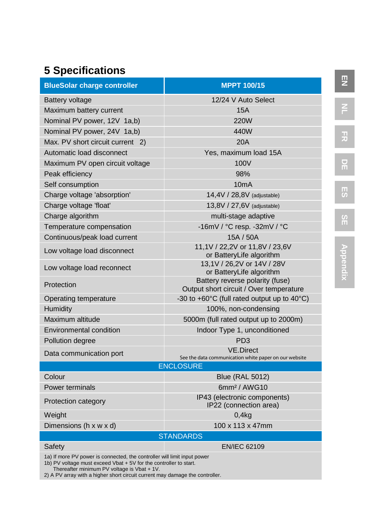### **5 Specifications**

| <b>BlueSolar charge controller</b>                                                                                                            | <b>MPPT 100/15</b>                                                         |  |
|-----------------------------------------------------------------------------------------------------------------------------------------------|----------------------------------------------------------------------------|--|
| Battery voltage                                                                                                                               | 12/24 V Auto Select                                                        |  |
| Maximum battery current                                                                                                                       | 15A                                                                        |  |
| Nominal PV power, 12V 1a,b)                                                                                                                   | 220W                                                                       |  |
| Nominal PV power, 24V 1a,b)                                                                                                                   | 440W                                                                       |  |
| Max. PV short circuit current 2)                                                                                                              | <b>20A</b>                                                                 |  |
| Automatic load disconnect                                                                                                                     | Yes, maximum load 15A                                                      |  |
| Maximum PV open circuit voltage                                                                                                               | 100V                                                                       |  |
| Peak efficiency                                                                                                                               | 98%                                                                        |  |
| Self consumption                                                                                                                              | 10mA                                                                       |  |
| Charge voltage 'absorption'                                                                                                                   | 14,4V / 28,8V (adjustable)                                                 |  |
| Charge voltage 'float'                                                                                                                        | 13,8V / 27,6V (adjustable)                                                 |  |
| Charge algorithm                                                                                                                              | multi-stage adaptive                                                       |  |
| Temperature compensation                                                                                                                      | -16mV / °C resp. -32mV / °C                                                |  |
| Continuous/peak load current                                                                                                                  | 15A / 50A                                                                  |  |
| Low voltage load disconnect                                                                                                                   | 11,1V / 22,2V or 11,8V / 23,6V<br>or BatteryLife algorithm                 |  |
| Low voltage load reconnect                                                                                                                    | 13,1V / 26,2V or 14V / 28V<br>or BatteryLife algorithm                     |  |
| Protection                                                                                                                                    | Battery reverse polarity (fuse)<br>Output short circuit / Over temperature |  |
| Operating temperature                                                                                                                         | -30 to $+60^{\circ}$ C (full rated output up to 40 $^{\circ}$ C)           |  |
| Humidity                                                                                                                                      | 100%, non-condensing                                                       |  |
| Maximum altitude                                                                                                                              | 5000m (full rated output up to 2000m)                                      |  |
| <b>Environmental condition</b>                                                                                                                | Indoor Type 1, unconditioned                                               |  |
| Pollution degree                                                                                                                              | PD <sub>3</sub>                                                            |  |
| Data communication port                                                                                                                       | <b>VE.Direct</b>                                                           |  |
|                                                                                                                                               | See the data communication white paper on our website<br><b>ENCLOSURE</b>  |  |
| Colour                                                                                                                                        | <b>Blue (RAL 5012)</b>                                                     |  |
| Power terminals                                                                                                                               | 6mm <sup>2</sup> / AWG10                                                   |  |
| Protection category                                                                                                                           | IP43 (electronic components)<br>IP22 (connection area)                     |  |
| Weight                                                                                                                                        | 0.4 <sub>kq</sub>                                                          |  |
| Dimensions (h x w x d)                                                                                                                        | 100 x 113 x 47mm                                                           |  |
| <b>STANDARDS</b>                                                                                                                              |                                                                            |  |
| Safety                                                                                                                                        | <b>EN/IEC 62109</b>                                                        |  |
| 1a) If more PV power is connected, the controller will limit input power<br>1b) PV voltage must exceed Vbat + 5V for the controller to start. |                                                                            |  |

1b) PV voltage must exceed Vbat + 5V for the controller to start. Thereafter minimum PV voltage is Vbat + 1V. 2) A PV array with a higher short circuit current may damage the controller.

**SE**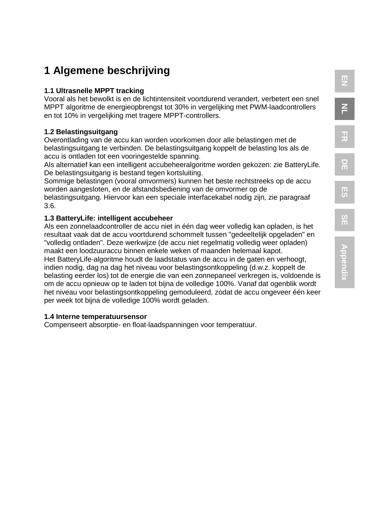### **1 Algemene beschrijving**

#### **1.1 Ultrasnelle MPPT tracking**

Vooral als het bewolkt is en de lichtintensiteit voortdurend verandert, verbetert een snel MPPT algoritme de energieopbrengst tot 30% in vergelijking met PWM-laadcontrollers en tot 10% in vergelijking met tragere MPPT-controllers.

#### **1.2 Belastingsuitgang**

Overontlading van de accu kan worden voorkomen door alle belastingen met de belastingsuitgang te verbinden. De belastingsuitgang koppelt de belasting los als de accu is ontladen tot een vooringestelde spanning.

Als alternatief kan een intelligent accubeheeralgoritme worden gekozen: zie BatteryLife. De belastingsuitgang is bestand tegen kortsluiting.

Sommige belastingen (vooral omvormers) kunnen het beste rechtstreeks op de accu worden aangesloten, en de afstandsbediening van de omvormer op de

belastingsuitgang. Hiervoor kan een speciale interfacekabel nodig zijn, zie paragraaf 3.6.

### **1.3 BatteryLife: intelligent accubeheer**

Als een zonnelaadcontroller de accu niet in één dag weer volledig kan opladen, is het resultaat vaak dat de accu voortdurend schommelt tussen "gedeeltelijk opgeladen" en "volledig ontladen". Deze werkwijze (de accu niet regelmatig volledig weer opladen) maakt een loodzuuraccu binnen enkele weken of maanden helemaal kapot.

Het BatteryLife-algoritme houdt de laadstatus van de accu in de gaten en verhoogt, indien nodig, dag na dag het niveau voor belastingsontkoppeling (d.w.z. koppelt de belasting eerder los) tot de energie die van een zonnepaneel verkregen is, voldoende is om de accu opnieuw op te laden tot bijna de volledige 100%. Vanaf dat ogenblik wordt het niveau voor belastingsontkoppeling gemoduleerd, zodat de accu ongeveer één keer per week tot bijna de volledige 100% wordt geladen.

#### **1.4 Interne temperatuursensor**

Compenseert absorptie- en float-laadspanningen voor temperatuur.

**EN**

**NL**

**FR**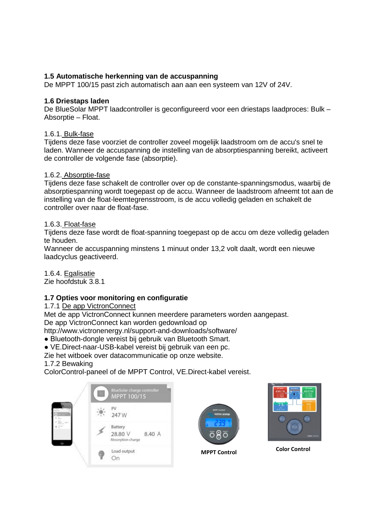#### **1.5 Automatische herkenning van de accuspanning**

De MPPT 100/15 past zich automatisch aan aan een systeem van 12V of 24V.

#### **1.6 Driestaps laden**

De BlueSolar MPPT laadcontroller is geconfigureerd voor een driestaps laadproces: Bulk – Absorptie – Float.

#### 1.6.1. Bulk-fase

Tijdens deze fase voorziet de controller zoveel mogelijk laadstroom om de accu's snel te laden. Wanneer de accuspanning de instelling van de absorptiespanning bereikt, activeert de controller de volgende fase (absorptie).

#### 1.6.2. Absorptie-fase

Tijdens deze fase schakelt de controller over op de constante-spanningsmodus, waarbij de absorptiespanning wordt toegepast op de accu. Wanneer de laadstroom afneemt tot aan de instelling van de float-leemtegrensstroom, is de accu volledig geladen en schakelt de controller over naar de float-fase.

#### 1.6.3. Float-fase

Tijdens deze fase wordt de float-spanning toegepast op de accu om deze volledig geladen te houden.

Wanneer de accuspanning minstens 1 minuut onder 13,2 volt daalt, wordt een nieuwe laadcyclus geactiveerd.

1.6.4. Egalisatie Zie hoofdstuk 3.8.1

#### **1.7 Opties voor monitoring en configuratie**

1.7.1 De app VictronConnect

Met de app VictronConnect kunnen meerdere parameters worden aangepast.

De app VictronConnect kan worden gedownload op

http://www.victronenergy.nl/support-and-downloads/software/

● Bluetooth-dongle vereist bij gebruik van Bluetooth Smart.

● VE.Direct-naar-USB-kabel vereist bij gebruik van een pc.

Zie het witboek over datacommunicatie op onze website.

#### 1.7.2 Bewaking

ColorControl-paneel of de MPPT Control, VE.Direct-kabel vereist.







**MPPT Control Color Control**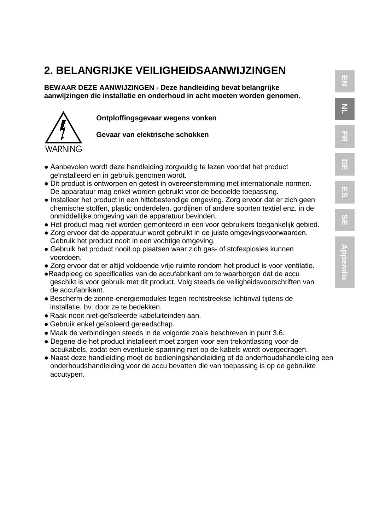### **2. BELANGRIJKE VEILIGHEIDSAANWIJZINGEN**

**BEWAAR DEZE AANWIJZINGEN - Deze handleiding bevat belangrijke aanwijzingen die installatie en onderhoud in acht moeten worden genomen.**



**Ontploffingsgevaar wegens vonken**

**Gevaar van elektrische schokken**

- Aanbevolen wordt deze handleiding zorgvuldig te lezen voordat het product geïnstalleerd en in gebruik genomen wordt.
- Dit product is ontworpen en getest in overeenstemming met internationale normen. De apparatuur mag enkel worden gebruikt voor de bedoelde toepassing.
- Installeer het product in een hittebestendige omgeving. Zorg ervoor dat er zich geen chemische stoffen, plastic onderdelen, gordijnen of andere soorten textiel enz. in de onmiddellijke omgeving van de apparatuur bevinden.
- Het product mag niet worden gemonteerd in een voor gebruikers toegankelijk gebied.
- Zorg ervoor dat de apparatuur wordt gebruikt in de juiste omgevingsvoorwaarden. Gebruik het product nooit in een vochtige omgeving.
- Gebruik het product nooit op plaatsen waar zich gas- of stofexplosies kunnen voordoen.
- Zorg ervoor dat er altijd voldoende vrije ruimte rondom het product is voor ventilatie.
- ●Raadpleeg de specificaties van de accufabrikant om te waarborgen dat de accu geschikt is voor gebruik met dit product. Volg steeds de veiligheidsvoorschriften van de accufabrikant.
- Bescherm de zonne-energiemodules tegen rechtstreekse lichtinval tijdens de installatie, bv. door ze te bedekken.
- Raak nooit niet-geïsoleerde kabeluiteinden aan.
- Gebruik enkel geïsoleerd gereedschap.
- Maak de verbindingen steeds in de volgorde zoals beschreven in punt 3.6.
- Degene die het product installeert moet zorgen voor een trekontlasting voor de accukabels, zodat een eventuele spanning niet op de kabels wordt overgedragen.
- Naast deze handleiding moet de bedieningshandleiding of de onderhoudshandleiding een onderhoudshandleiding voor de accu bevatten die van toepassing is op de gebruikte accutypen.

**EN**

**NL**

**FR**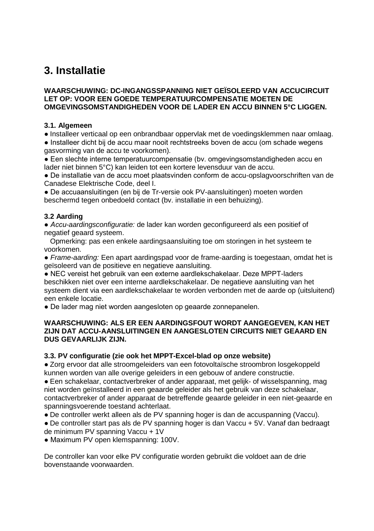### **3. Installatie**

#### **WAARSCHUWING: DC-INGANGSSPANNING NIET GEÏSOLEERD VAN ACCUCIRCUIT LET OP: VOOR EEN GOEDE TEMPERATUURCOMPENSATIE MOETEN DE OMGEVINGSOMSTANDIGHEDEN VOOR DE LADER EN ACCU BINNEN 5°C LIGGEN.**

#### **3.1. Algemeen**

● Installeer verticaal op een onbrandbaar oppervlak met de voedingsklemmen naar omlaag.

● Installeer dicht bij de accu maar nooit rechtstreeks boven de accu (om schade wegens gasvorming van de accu te voorkomen).

● Een slechte interne temperatuurcompensatie (bv. omgevingsomstandigheden accu en lader niet binnen 5°C) kan leiden tot een kortere levensduur van de accu.

● De installatie van de accu moet plaatsvinden conform de accu-opslagvoorschriften van de Canadese Elektrische Code, deel I.

● De accuaansluitingen (en bij de Tr-versie ook PV-aansluitingen) moeten worden beschermd tegen onbedoeld contact (bv. installatie in een behuizing).

#### **3.2 Aarding**

*● Accu-aardingsconfiguratie:* de lader kan worden geconfigureerd als een positief of negatief geaard systeem.

 Opmerking: pas een enkele aardingsaansluiting toe om storingen in het systeem te voorkomen.

● *Frame-aarding:* Een apart aardingspad voor de frame-aarding is toegestaan, omdat het is geïsoleerd van de positieve en negatieve aansluiting.

● NEC vereist het gebruik van een externe aardlekschakelaar. Deze MPPT-laders beschikken niet over een interne aardlekschakelaar. De negatieve aansluiting van het systeem dient via een aardlekschakelaar te worden verbonden met de aarde op (uitsluitend) een enkele locatie.

● De lader mag niet worden aangesloten op geaarde zonnepanelen.

#### **WAARSCHUWING: ALS ER EEN AARDINGSFOUT WORDT AANGEGEVEN, KAN HET ZIJN DAT ACCU-AANSLUITINGEN EN AANGESLOTEN CIRCUITS NIET GEAARD EN DUS GEVAARLIJK ZIJN.**

#### **3.3. PV configuratie (zie ook het MPPT-Excel-blad op onze website)**

● Zorg ervoor dat alle stroomgeleiders van een fotovoltaïsche stroombron losgekoppeld kunnen worden van alle overige geleiders in een gebouw of andere constructie.

● Een schakelaar, contactverbreker of ander apparaat, met gelijk- of wisselspanning, mag niet worden geïnstalleerd in een geaarde geleider als het gebruik van deze schakelaar, contactverbreker of ander apparaat de betreffende geaarde geleider in een niet-geaarde en spanningsvoerende toestand achterlaat.

● De controller werkt alleen als de PV spanning hoger is dan de accuspanning (Vaccu).

● De controller start pas als de PV spanning hoger is dan Vaccu + 5V. Vanaf dan bedraagt de minimum PV spanning Vaccu + 1V

• Maximum PV open klemspanning: 100V.

De controller kan voor elke PV configuratie worden gebruikt die voldoet aan de drie bovenstaande voorwaarden.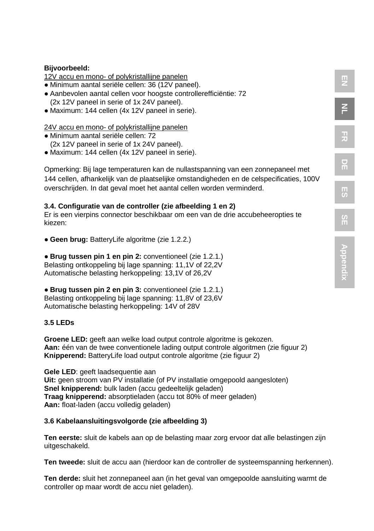#### **Bijvoorbeeld:**

12V accu en mono- of polykristallijne panelen

- Minimum aantal seriële cellen: 36 (12V paneel).
- Aanbevolen aantal cellen voor hoogste controllerefficiëntie: 72 (2x 12V paneel in serie of 1x 24V paneel).
- Maximum: 144 cellen (4x 12V paneel in serie).

#### 24V accu en mono- of polykristallijne panelen

- Minimum aantal seriële cellen: 72 (2x 12V paneel in serie of 1x 24V paneel).
- Maximum: 144 cellen (4x 12V paneel in serie).

Opmerking: Bij lage temperaturen kan de nullastspanning van een zonnepaneel met 144 cellen, afhankelijk van de plaatselijke omstandigheden en de celspecificaties, 100V overschrijden. In dat geval moet het aantal cellen worden verminderd.

**EN**

**NL**

**FR**

**DE**

**ES**

**SE**

#### **3.4. Configuratie van de controller (zie afbeelding 1 en 2)**

Er is een vierpins connector beschikbaar om een van de drie accubeheeropties te kiezen:

● **Geen brug:** BatteryLife algoritme (zie 1.2.2.)

● **Brug tussen pin 1 en pin 2:** conventioneel (zie 1.2.1.) Belasting ontkoppeling bij lage spanning: 11,1V of 22,2V Automatische belasting herkoppeling: 13,1V of 26,2V

● **Brug tussen pin 2 en pin 3:** conventioneel (zie 1.2.1.) Belasting ontkoppeling bij lage spanning: 11,8V of 23,6V Automatische belasting herkoppeling: 14V of 28V

#### **3.5 LEDs**

**Groene LED:** geeft aan welke load output controle algoritme is gekozen. **Aan:** één van de twee conventionele lading output controle algoritmen (zie figuur 2) **Knipperend:** BatteryLife load output controle algoritme (zie figuur 2)

**Gele LED**: geeft laadsequentie aan **Uit:** geen stroom van PV installatie (of PV installatie omgepoold aangesloten) **Snel knipperend:** bulk laden (accu gedeeltelijk geladen) **Traag knipperend:** absorptieladen (accu tot 80% of meer geladen) **Aan:** float-laden (accu volledig geladen)

#### **3.6 Kabelaansluitingsvolgorde (zie afbeelding 3)**

**Ten eerste:** sluit de kabels aan op de belasting maar zorg ervoor dat alle belastingen zijn uitgeschakeld.

**Ten tweede:** sluit de accu aan (hierdoor kan de controller de systeemspanning herkennen).

**Ten derde:** sluit het zonnepaneel aan (in het geval van omgepoolde aansluiting warmt de controller op maar wordt de accu niet geladen).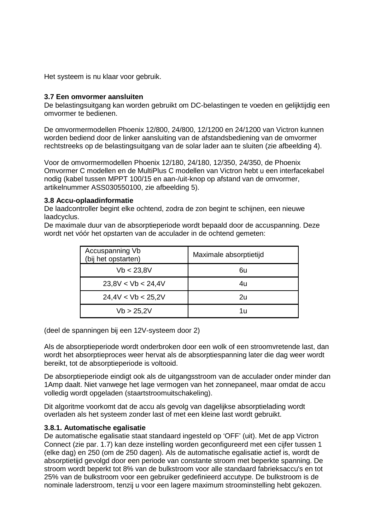Het systeem is nu klaar voor gebruik.

#### **3.7 Een omvormer aansluiten**

De belastingsuitgang kan worden gebruikt om DC-belastingen te voeden en gelijktijdig een omvormer te bedienen.

De omvormermodellen Phoenix 12/800, 24/800, 12/1200 en 24/1200 van Victron kunnen worden bediend door de linker aansluiting van de afstandsbediening van de omvormer rechtstreeks op de belastingsuitgang van de solar lader aan te sluiten (zie afbeelding 4).

Voor de omvormermodellen Phoenix 12/180, 24/180, 12/350, 24/350, de Phoenix Omvormer C modellen en de MultiPlus C modellen van Victron hebt u een interfacekabel nodig (kabel tussen MPPT 100/15 en aan-/uit-knop op afstand van de omvormer, artikelnummer ASS030550100, zie afbeelding 5).

#### **3.8 Accu-oplaadinformatie**

De laadcontroller begint elke ochtend, zodra de zon begint te schijnen, een nieuwe laadcyclus.

De maximale duur van de absorptieperiode wordt bepaald door de accuspanning. Deze wordt net vóór het opstarten van de acculader in de ochtend gemeten:

| Accuspanning Vb<br>(bij het opstarten) | Maximale absorptietijd |
|----------------------------------------|------------------------|
| Vb < 23.8V                             | 6u                     |
| 23.8V < Vb < 24.4V                     | 4u                     |
| 24.4V < Vb < 25.2V                     | 2υ                     |
| Vb > 25.2V                             | 1u                     |

(deel de spanningen bij een 12V-systeem door 2)

Als de absorptieperiode wordt onderbroken door een wolk of een stroomvretende last, dan wordt het absorptieproces weer hervat als de absorptiespanning later die dag weer wordt bereikt, tot de absorptieperiode is voltooid.

De absorptieperiode eindigt ook als de uitgangsstroom van de acculader onder minder dan 1Amp daalt. Niet vanwege het lage vermogen van het zonnepaneel, maar omdat de accu volledig wordt opgeladen (staartstroomuitschakeling).

Dit algoritme voorkomt dat de accu als gevolg van dagelijkse absorptielading wordt overladen als het systeem zonder last of met een kleine last wordt gebruikt.

#### **3.8.1. Automatische egalisatie**

De automatische egalisatie staat standaard ingesteld op 'OFF' (uit). Met de app Victron Connect (zie par. 1.7) kan deze instelling worden geconfigureerd met een cijfer tussen 1 (elke dag) en 250 (om de 250 dagen). Als de automatische egalisatie actief is, wordt de absorptietijd gevolgd door een periode van constante stroom met beperkte spanning. De stroom wordt beperkt tot 8% van de bulkstroom voor alle standaard fabrieksaccu's en tot 25% van de bulkstroom voor een gebruiker gedefinieerd accutype. De bulkstroom is de nominale laderstroom, tenzij u voor een lagere maximum stroominstelling hebt gekozen.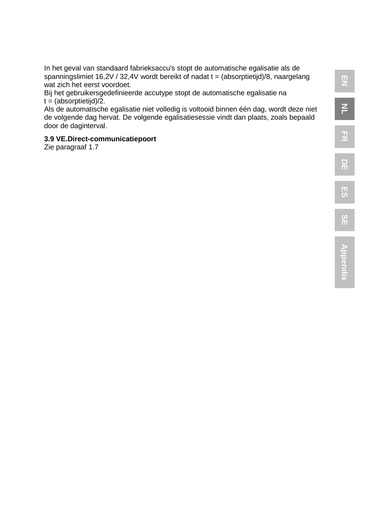In het geval van standaard fabrieksaccu's stopt de automatische egalisatie als de spanningslimiet 16,2V / 32,4V wordt bereikt of nadat  $t = (absorptietiid)/8$ , naargelang wat zich het eerst voordoet.

Bij het gebruikersgedefinieerde accutype stopt de automatische egalisatie na  $t = (absorptietiid)/2.$ 

Als de automatische egalisatie niet volledig is voltooid binnen één dag, wordt deze niet de volgende dag hervat. De volgende egalisatiesessie vindt dan plaats, zoals bepaald door de daginterval.

#### **3.9 VE.Direct-communicatiepoort**

Zie paragraaf 1.7

**Appendix**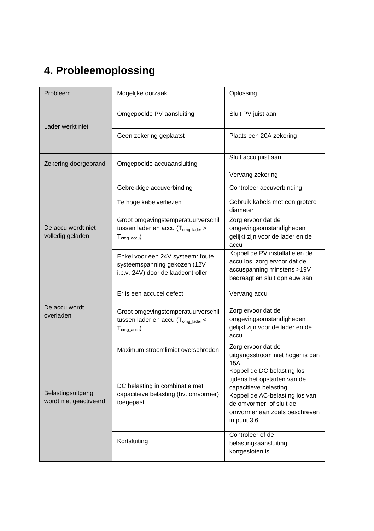### **4. Probleemoplossing**

| Probleem                                    | Mogelijke oorzaak                                                                                                  | Oplossing                                                                                                                                                                                           |
|---------------------------------------------|--------------------------------------------------------------------------------------------------------------------|-----------------------------------------------------------------------------------------------------------------------------------------------------------------------------------------------------|
| Lader werkt niet                            | Omgepoolde PV aansluiting                                                                                          | Sluit PV juist aan                                                                                                                                                                                  |
|                                             | Geen zekering geplaatst                                                                                            | Plaats een 20A zekering                                                                                                                                                                             |
| Zekering doorgebrand                        | Omgepoolde accuaansluiting                                                                                         | Sluit accu juist aan                                                                                                                                                                                |
|                                             |                                                                                                                    | Vervang zekering                                                                                                                                                                                    |
|                                             | Gebrekkige accuverbinding                                                                                          | Controleer accuverbinding                                                                                                                                                                           |
|                                             | Te hoge kabelverliezen                                                                                             | Gebruik kabels met een grotere<br>diameter                                                                                                                                                          |
| De accu wordt niet<br>volledig geladen      | Groot omgevingstemperatuurverschil<br>tussen lader en accu (T <sub>omg_lader</sub> ><br>$T_{oma\ accu}$            | Zorg ervoor dat de<br>omgevingsomstandigheden<br>gelijkt zijn voor de lader en de<br>accu                                                                                                           |
|                                             | Enkel voor een 24V systeem: foute<br>systeemspanning gekozen (12V<br>i.p.v. 24V) door de laadcontroller            | Koppel de PV installatie en de<br>accu los, zorg ervoor dat de<br>accuspanning minstens >19V<br>bedraagt en sluit opnieuw aan                                                                       |
|                                             | Er is een accucel defect                                                                                           | Vervang accu                                                                                                                                                                                        |
| De accu wordt<br>overladen                  | Groot omgevingstemperatuurverschil<br>tussen lader en accu ( $T_{oma\ later}$ <<br>${\mathsf T}_{\text{oma accu}}$ | Zorg ervoor dat de<br>omgevingsomstandigheden<br>gelijkt zijn voor de lader en de<br>accu                                                                                                           |
| Belastingsuitgang<br>wordt niet geactiveerd | Maximum stroomlimiet overschreden                                                                                  | Zorg ervoor dat de<br>uitgangsstroom niet hoger is dan<br><b>15A</b>                                                                                                                                |
|                                             | DC belasting in combinatie met<br>capacitieve belasting (bv. omvormer)<br>toegepast                                | Koppel de DC belasting los<br>tijdens het opstarten van de<br>capacitieve belasting.<br>Koppel de AC-belasting los van<br>de omvormer, of sluit de<br>omvormer aan zoals beschreven<br>in punt 3.6. |
|                                             | Kortsluiting                                                                                                       | Controleer of de<br>belastingsaansluiting<br>kortgesloten is                                                                                                                                        |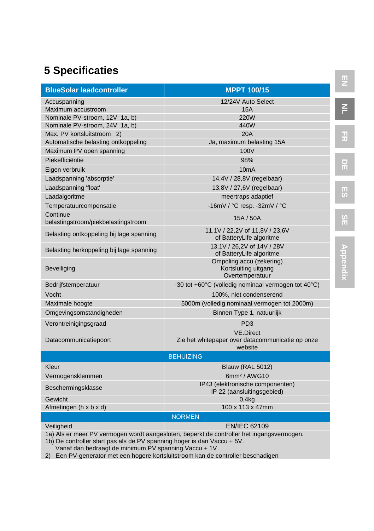### **5 Specificaties**

| <b>BlueSolar laadcontroller</b>                 | <b>MPPT 100/15</b>                                                              |  |
|-------------------------------------------------|---------------------------------------------------------------------------------|--|
| Accuspanning                                    | 12/24V Auto Select                                                              |  |
| Maximum accustroom                              | <b>15A</b>                                                                      |  |
| Nominale PV-stroom, 12V 1a, b)                  | <b>220W</b>                                                                     |  |
| Nominale PV-stroom, 24V 1a, b)                  | 440W                                                                            |  |
| Max. PV kortsluitstroom 2)                      | <b>20A</b>                                                                      |  |
| Automatische belasting ontkoppeling             | Ja, maximum belasting 15A                                                       |  |
| Maximum PV open spanning                        | 100V                                                                            |  |
| Piekefficiëntie                                 | 98%                                                                             |  |
| Eigen verbruik                                  | 10mA                                                                            |  |
| Laadspanning 'absorptie'                        | 14,4V / 28,8V (regelbaar)                                                       |  |
| Laadspanning 'float'                            | 13,8V / 27,6V (regelbaar)                                                       |  |
| Laadalgoritme                                   | meertraps adaptief                                                              |  |
| Temperatuurcompensatie                          | -16mV / °C resp. -32mV / °C                                                     |  |
| Continue<br>belastingstroom/piekbelastingstroom | 15A / 50A                                                                       |  |
| Belasting ontkoppeling bij lage spanning        | 11,1V / 22,2V of 11,8V / 23,6V<br>of BatteryLife algoritme                      |  |
| Belasting herkoppeling bij lage spanning        | 13.1V / 26.2V of 14V / 28V<br>of BatteryLife algoritme                          |  |
| Beveiliging                                     | Ompoling accu (zekering)<br>Kortsluiting uitgang<br>Overtemperatuur             |  |
| Bedrijfstemperatuur                             | -30 tot +60°C (volledig nominaal vermogen tot 40°C)                             |  |
| Vocht                                           | 100%, niet condenserend                                                         |  |
| Maximale hoogte                                 | 5000m (volledig nominaal vermogen tot 2000m)                                    |  |
| Omgevingsomstandigheden                         | Binnen Type 1, natuurlijk                                                       |  |
| Verontreinigingsgraad                           | PD <sub>3</sub>                                                                 |  |
| Datacommunicatiepoort                           | <b>VE.Direct</b><br>Zie het whitepaper over datacommunicatie op onze<br>website |  |
|                                                 | <b>BEHUIZING</b>                                                                |  |
| Kleur                                           | <b>Blauw (RAL 5012)</b>                                                         |  |
| Vermogensklemmen                                | 6mm <sup>2</sup> / AWG10                                                        |  |
| Beschermingsklasse                              | IP43 (elektronische componenten)<br>IP 22 (aansluitingsgebied)                  |  |
| Gewicht                                         | 0.4 <sub>kq</sub>                                                               |  |
| Afmetingen (h x b x d)                          | 100 x 113 x 47mm                                                                |  |
|                                                 | <b>NORMEN</b>                                                                   |  |
| Veiligheid<br>$\mathbf{u}$                      | <b>EN/IEC 62109</b>                                                             |  |

1a) Als er meer PV vermogen wordt aangesloten, beperkt de controller het ingangsvermogen.

1b) De controller start pas als de PV spanning hoger is dan Vaccu + 5V.

Vanaf dan bedraagt de minimum PV spanning Vaccu + 1V

2) Een PV-generator met een hogere kortsluitstroom kan de controller beschadigen

**NL**

**DE**

**FR**

**ES**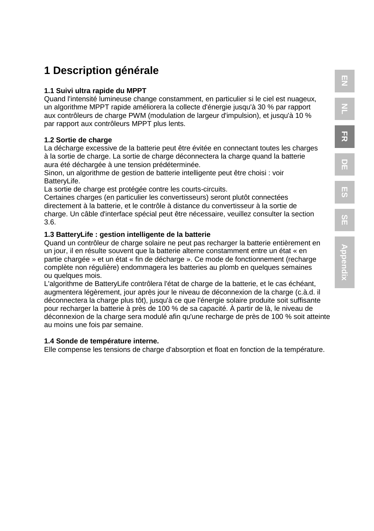### **1 Description générale**

#### **1.1 Suivi ultra rapide du MPPT**

Quand l'intensité lumineuse change constamment, en particulier si le ciel est nuageux, un algorithme MPPT rapide améliorera la collecte d'énergie jusqu'à 30 % par rapport aux contrôleurs de charge PWM (modulation de largeur d'impulsion), et jusqu'à 10 % par rapport aux contrôleurs MPPT plus lents.

#### **1.2 Sortie de charge**

La décharge excessive de la batterie peut être évitée en connectant toutes les charges à la sortie de charge. La sortie de charge déconnectera la charge quand la batterie aura été déchargée à une tension prédéterminée.

Sinon, un algorithme de gestion de batterie intelligente peut être choisi : voir BatteryLife.

La sortie de charge est protégée contre les courts-circuits.

Certaines charges (en particulier les convertisseurs) seront plutôt connectées directement à la batterie, et le contrôle à distance du convertisseur à la sortie de charge. Un câble d'interface spécial peut être nécessaire, veuillez consulter la section 3.6.

#### **1.3 BatteryLife : gestion intelligente de la batterie**

Quand un contrôleur de charge solaire ne peut pas recharger la batterie entièrement en un jour, il en résulte souvent que la batterie alterne constamment entre un état « en partie chargée » et un état « fin de décharge ». Ce mode de fonctionnement (recharge complète non régulière) endommagera les batteries au plomb en quelques semaines ou quelques mois.

L'algorithme de BatteryLife contrôlera l'état de charge de la batterie, et le cas échéant, augmentera légèrement, jour après jour le niveau de déconnexion de la charge (c.à.d. il déconnectera la charge plus tôt), jusqu'à ce que l'énergie solaire produite soit suffisante pour recharger la batterie à près de 100 % de sa capacité. À partir de là, le niveau de déconnexion de la charge sera modulé afin qu'une recharge de près de 100 % soit atteinte au moins une fois par semaine.

#### **1.4 Sonde de température interne.**

Elle compense les tensions de charge d'absorption et float en fonction de la température.

**FR**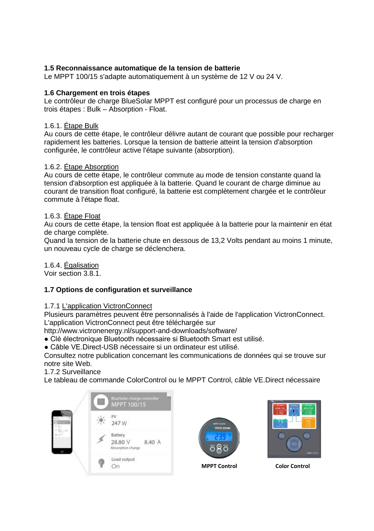#### **1.5 Reconnaissance automatique de la tension de batterie**

Le MPPT 100/15 s'adapte automatiquement à un système de 12 V ou 24 V.

#### **1.6 Chargement en trois étapes**

Le contrôleur de charge BlueSolar MPPT est configuré pour un processus de charge en trois étapes : Bulk – Absorption - Float.

#### 1.6.1. Étape Bulk

Au cours de cette étape, le contrôleur délivre autant de courant que possible pour recharger rapidement les batteries. Lorsque la tension de batterie atteint la tension d'absorption configurée, le contrôleur active l'étape suivante (absorption).

#### 1.6.2. Étape Absorption

Au cours de cette étape, le contrôleur commute au mode de tension constante quand la tension d'absorption est appliquée à la batterie. Quand le courant de charge diminue au courant de transition float configuré, la batterie est complètement chargée et le contrôleur commute à l'étape float.

#### 1.6.3. Étape Float

Au cours de cette étape, la tension float est appliquée à la batterie pour la maintenir en état de charge complète.

Quand la tension de la batterie chute en dessous de 13,2 Volts pendant au moins 1 minute, un nouveau cycle de charge se déclenchera.

1.6.4. Égalisation

Voir section 3.8.1.

#### **1.7 Options de configuration et surveillance**

#### 1.7.1 L'application VictronConnect

Plusieurs paramètres peuvent être personnalisés à l'aide de l'application VictronConnect. L'application VictronConnect peut être téléchargée sur

http://www.victronenergy.nl/support-and-downloads/software/

● Clé électronique Bluetooth nécessaire si Bluetooth Smart est utilisé.

● Câble VE.Direct-USB nécessaire si un ordinateur est utilisé.

Consultez notre publication concernant les communications de données qui se trouve sur notre site Web.

1.7.2 Surveillance

Le tableau de commande ColorControl ou le MPPT Control, câble VE.Direct nécessaire





**MPPT Control Color Control**

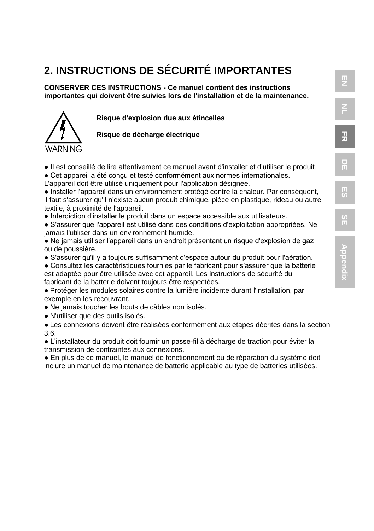### **2. INSTRUCTIONS DE SÉCURITÉ IMPORTANTES**

**CONSERVER CES INSTRUCTIONS - Ce manuel contient des instructions importantes qui doivent être suivies lors de l'installation et de la maintenance.**



**Risque d'explosion due aux étincelles**

**Risque de décharge électrique**

- Il est conseillé de lire attentivement ce manuel avant d'installer et d'utiliser le produit.
- Cet appareil a été conçu et testé conformément aux normes internationales.
- L'appareil doit être utilisé uniquement pour l'application désignée.
- Installer l'appareil dans un environnement protégé contre la chaleur. Par conséquent, il faut s'assurer qu'il n'existe aucun produit chimique, pièce en plastique, rideau ou autre textile, à proximité de l'appareil.
- Interdiction d'installer le produit dans un espace accessible aux utilisateurs.
- S'assurer que l'appareil est utilisé dans des conditions d'exploitation appropriées. Ne jamais l'utiliser dans un environnement humide.
- Ne jamais utiliser l'appareil dans un endroit présentant un risque d'explosion de gaz ou de poussière.
- S'assurer qu'il y a toujours suffisamment d'espace autour du produit pour l'aération.
- Consultez les caractéristiques fournies par le fabricant pour s'assurer que la batterie est adaptée pour être utilisée avec cet appareil. Les instructions de sécurité du fabricant de la batterie doivent toujours être respectées.
- Protéger les modules solaires contre la lumière incidente durant l'installation, par exemple en les recouvrant.
- Ne jamais toucher les bouts de câbles non isolés.
- N'utiliser que des outils isolés.

● Les connexions doivent être réalisées conformément aux étapes décrites dans la section 3.6.

● L'installateur du produit doit fournir un passe-fil à décharge de traction pour éviter la transmission de contraintes aux connexions.

● En plus de ce manuel, le manuel de fonctionnement ou de réparation du système doit inclure un manuel de maintenance de batterie applicable au type de batteries utilisées.

**EN NL**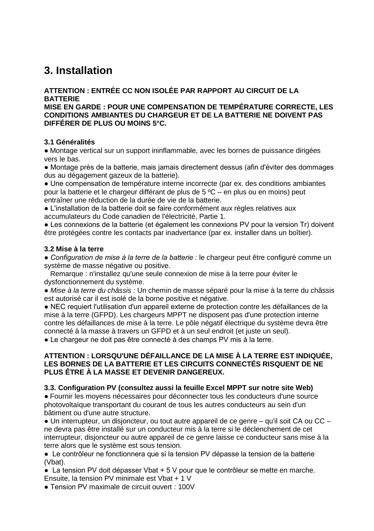### **3. Installation**

#### **ATTENTION : ENTRÉE CC NON ISOLÉE PAR RAPPORT AU CIRCUIT DE LA BATTERIE**

**MISE EN GARDE : POUR UNE COMPENSATION DE TEMPÉRATURE CORRECTE, LES CONDITIONS AMBIANTES DU CHARGEUR ET DE LA BATTERIE NE DOIVENT PAS DIFFÉRER DE PLUS OU MOINS 5°C.**

#### **3.1 Généralités**

● Montage vertical sur un support ininflammable, avec les bornes de puissance dirigées vers le bas.

● Montage près de la batterie, mais jamais directement dessus (afin d'éviter des dommages dus au dégagement gazeux de la batterie).

● Une compensation de température interne incorrecte (par ex. des conditions ambiantes pour la batterie et le chargeur différant de plus de 5 ºC – en plus ou en moins) peut entraîner une réduction de la durée de vie de la batterie.

● L'installation de la batterie doit se faire conformément aux règles relatives aux accumulateurs du Code canadien de l'électricité, Partie 1.

● Les connexions de la batterie (et également les connexions PV pour la version Tr) doivent être protégées contre les contacts par inadvertance (par ex. installer dans un boîtier).

#### **3.2 Mise à la terre**

*● Configuration de mise à la terre de la batterie :* le chargeur peut être configuré comme un système de masse négative ou positive.

 Remarque : n'installez qu'une seule connexion de mise à la terre pour éviter le dysfonctionnement du système.

● *Mise à la terre du châssis :* Un chemin de masse séparé pour la mise à la terre du châssis est autorisé car il est isolé de la borne positive et négative.

● NEC requiert l'utilisation d'un appareil externe de protection contre les défaillances de la mise à la terre (GFPD). Les chargeurs MPPT ne disposent pas d'une protection interne contre les défaillances de mise à la terre. Le pôle négatif électrique du système devra être connecté à la masse à travers un GFPD et à un seul endroit (et juste un seul).

• Le chargeur ne doit pas être connecté à des champs PV mis à la terre.

#### **ATTENTION : LORSQU'UNE DÉFAILLANCE DE LA MISE À LA TERRE EST INDIQUÉE, LES BORNES DE LA BATTERIE ET LES CIRCUITS CONNECTÉS RISQUENT DE NE PLUS ÊTRE À LA MASSE ET DEVENIR DANGEREUX.**

#### **3.3. Configuration PV (consultez aussi la feuille Excel MPPT sur notre site Web)**

● Fournir les moyens nécessaires pour déconnecter tous les conducteurs d'une source photovoltaïque transportant du courant de tous les autres conducteurs au sein d'un bâtiment ou d'une autre structure.

● Un interrupteur, un disjoncteur, ou tout autre appareil de ce genre – qu'il soit CA ou CC – ne devra pas être installé sur un conducteur mis à la terre si le déclenchement de cet interrupteur, disjoncteur ou autre appareil de ce genre laisse ce conducteur sans mise à la terre alors que le système est sous tension.

● Le contrôleur ne fonctionnera que si la tension PV dépasse la tension de la batterie (Vbat).

 $\bullet$  La tension PV doit dépasser Vbat + 5 V pour que le contrôleur se mette en marche. Ensuite, la tension PV minimale est Vbat + 1 V

● Tension PV maximale de circuit ouvert : 100V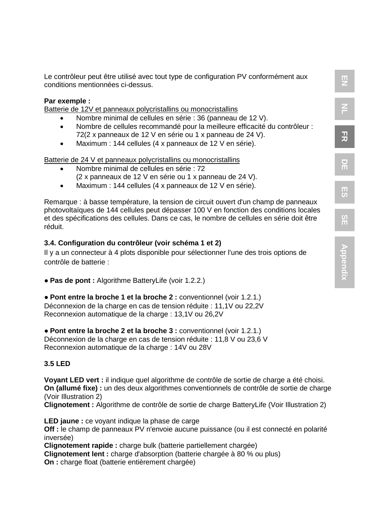Le contrôleur peut être utilisé avec tout type de configuration PV conformément aux conditions mentionnées ci-dessus.

**EN**

**NL**

**FR**

**DE**

#### **Par exemple :**

Batterie de 12V et panneaux polycristallins ou monocristallins

- Nombre minimal de cellules en série : 36 (panneau de 12 V).
- Nombre de cellules recommandé pour la meilleure efficacité du contrôleur : 72(2 x panneaux de 12 V en série ou 1 x panneau de 24 V).
- Maximum : 144 cellules (4 x panneaux de 12 V en série).

Batterie de 24 V et panneaux polycristallins ou monocristallins

- Nombre minimal de cellules en série : 72 (2 x panneaux de 12 V en série ou 1 x panneau de 24 V).
- Maximum : 144 cellules (4 x panneaux de 12 V en série).

Remarque : à basse température, la tension de circuit ouvert d'un champ de panneaux photovoltaïques de 144 cellules peut dépasser 100 V en fonction des conditions locales et des spécifications des cellules. Dans ce cas, le nombre de cellules en série doit être réduit.

#### **3.4. Configuration du contrôleur (voir schéma 1 et 2)**

Il y a un connecteur à 4 plots disponible pour sélectionner l'une des trois options de contrôle de batterie :

● **Pas de pont :** Algorithme BatteryLife (voir 1.2.2.)

● **Pont entre la broche 1 et la broche 2 :** conventionnel (voir 1.2.1.) Déconnexion de la charge en cas de tension réduite : 11,1V ou 22,2V Reconnexion automatique de la charge : 13,1V ou 26,2V

● **Pont entre la broche 2 et la broche 3 :** conventionnel (voir 1.2.1.) Déconnexion de la charge en cas de tension réduite : 11,8 V ou 23,6 V Reconnexion automatique de la charge : 14V ou 28V

#### **3.5 LED**

**Voyant LED vert :** il indique quel algorithme de contrôle de sortie de charge a été choisi. **On (allumé fixe) :** un des deux algorithmes conventionnels de contrôle de sortie de charge (Voir Illustration 2)

**Clignotement :** Algorithme de contrôle de sortie de charge BatteryLife (Voir Illustration 2)

**LED jaune :** ce voyant indique la phase de carge **Off :** le champ de panneaux PV n'envoie aucune puissance (ou il est connecté en polarité inversée) **Clignotement rapide :** charge bulk (batterie partiellement chargée) **Clignotement lent :** charge d'absorption (batterie chargée à 80 % ou plus)

**On :** charge float (batterie entièrement chargée)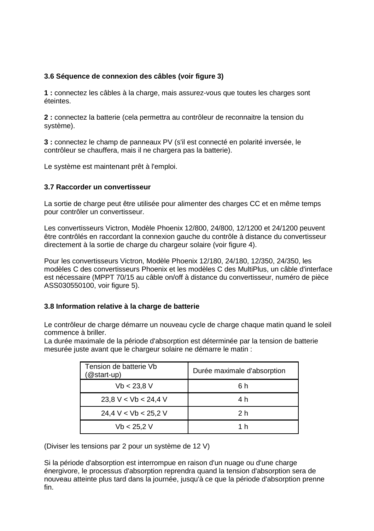#### **3.6 Séquence de connexion des câbles (voir figure 3)**

**1 :** connectez les câbles à la charge, mais assurez-vous que toutes les charges sont éteintes.

**2 :** connectez la batterie (cela permettra au contrôleur de reconnaitre la tension du système).

**3 :** connectez le champ de panneaux PV (s'il est connecté en polarité inversée, le contrôleur se chauffera, mais il ne chargera pas la batterie).

Le système est maintenant prêt à l'emploi.

#### **3.7 Raccorder un convertisseur**

La sortie de charge peut être utilisée pour alimenter des charges CC et en même temps pour contrôler un convertisseur.

Les convertisseurs Victron, Modèle Phoenix 12/800, 24/800, 12/1200 et 24/1200 peuvent être contrôlés en raccordant la connexion gauche du contrôle à distance du convertisseur directement à la sortie de charge du chargeur solaire (voir figure 4).

Pour les convertisseurs Victron, Modèle Phoenix 12/180, 24/180, 12/350, 24/350, les modèles C des convertisseurs Phoenix et les modèles C des MultiPlus, un câble d'interface est nécessaire (MPPT 70/15 au câble on/off à distance du convertisseur, numéro de pièce ASS030550100, voir figure 5).

#### **3.8 Information relative à la charge de batterie**

Le contrôleur de charge démarre un nouveau cycle de charge chaque matin quand le soleil commence à briller.

La durée maximale de la période d'absorption est déterminée par la tension de batterie mesurée juste avant que le chargeur solaire ne démarre le matin :

| Tension de batterie Vb<br>(@start-up) | Durée maximale d'absorption |
|---------------------------------------|-----------------------------|
| Vb < 23.8 V                           | 6 h                         |
| 23.8 V < Vb < 24.4 V                  | 4 h                         |
| 24,4 V < Vb < 25,2 V                  | 2 h                         |
| Vb < 25.2 V                           | 1 h                         |

(Diviser les tensions par 2 pour un système de 12 V)

Si la période d'absorption est interrompue en raison d'un nuage ou d'une charge énergivore, le processus d'absorption reprendra quand la tension d'absorption sera de nouveau atteinte plus tard dans la journée, jusqu'à ce que la période d'absorption prenne fin.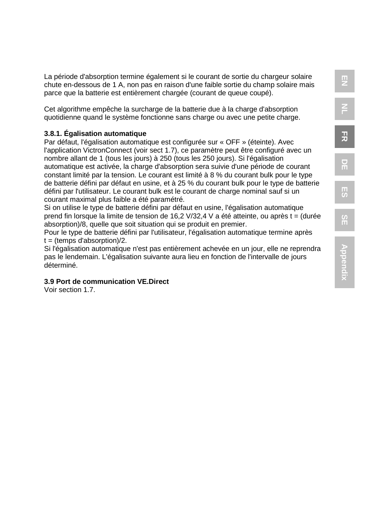**FR**

**DE**

La période d'absorption termine également si le courant de sortie du chargeur solaire chute en-dessous de 1 A, non pas en raison d'une faible sortie du champ solaire mais parce que la batterie est entièrement chargée (courant de queue coupé).

Cet algorithme empêche la surcharge de la batterie due à la charge d'absorption quotidienne quand le système fonctionne sans charge ou avec une petite charge.

#### **3.8.1. Égalisation automatique**

Par défaut, l'égalisation automatique est configurée sur « OFF » (éteinte). Avec l'application VictronConnect (voir sect 1.7), ce paramètre peut être configuré avec un nombre allant de 1 (tous les jours) à 250 (tous les 250 jours). Si l'égalisation automatique est activée, la charge d'absorption sera suivie d'une période de courant constant limité par la tension. Le courant est limité à 8 % du courant bulk pour le type de batterie défini par défaut en usine, et à 25 % du courant bulk pour le type de batterie défini par l'utilisateur. Le courant bulk est le courant de charge nominal sauf si un courant maximal plus faible a été paramétré.

Si on utilise le type de batterie défini par défaut en usine, l'égalisation automatique prend fin lorsque la limite de tension de 16,2 V/32,4 V a été atteinte, ou après t = (durée absorption)/8, quelle que soit situation qui se produit en premier.

Pour le type de batterie défini par l'utilisateur, l'égalisation automatique termine après  $t =$  (temps d'absorption)/2.

Si l'égalisation automatique n'est pas entièrement achevée en un jour, elle ne reprendra pas le lendemain. L'égalisation suivante aura lieu en fonction de l'intervalle de jours déterminé.

#### **3.9 Port de communication VE.Direct**

Voir section 1.7.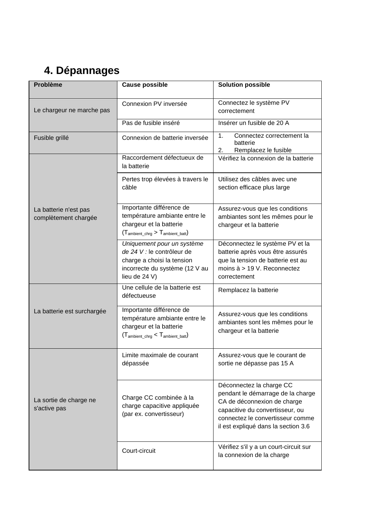### **4. Dépannages**

| Problème                                      | Cause possible                                                                                                                                  | <b>Solution possible</b>                                                                                                                                                                                   |
|-----------------------------------------------|-------------------------------------------------------------------------------------------------------------------------------------------------|------------------------------------------------------------------------------------------------------------------------------------------------------------------------------------------------------------|
| Le chargeur ne marche pas                     | Connexion PV inversée                                                                                                                           | Connectez le système PV<br>correctement                                                                                                                                                                    |
|                                               | Pas de fusible inséré                                                                                                                           | Insérer un fusible de 20 A                                                                                                                                                                                 |
| Fusible grillé                                | Connexion de batterie inversée                                                                                                                  | $\mathbf{1}$<br>Connectez correctement la<br>batterie<br>2.<br>Remplacez le fusible                                                                                                                        |
|                                               | Raccordement défectueux de<br>la batterie                                                                                                       | Vérifiez la connexion de la batterie                                                                                                                                                                       |
|                                               | Pertes trop élevées à travers le<br>câble                                                                                                       | Utilisez des câbles avec une<br>section efficace plus large                                                                                                                                                |
| La batterie n'est pas<br>complètement chargée | Importante différence de<br>température ambiante entre le<br>chargeur et la batterie<br>$(T_{\text{ambient chra}} > T_{\text{ambient batt}})$   | Assurez-vous que les conditions<br>ambiantes sont les mêmes pour le<br>chargeur et la batterie                                                                                                             |
|                                               | Uniquement pour un système<br>de 24 V : le contrôleur de<br>charge a choisi la tension<br>incorrecte du système (12 V au<br>lieu de 24 V)       | Déconnectez le système PV et la<br>batterie après vous être assurés<br>que la tension de batterie est au<br>moins $\dot{a}$ > 19 V. Reconnectez<br>correctement                                            |
|                                               | Une cellule de la batterie est<br>défectueuse                                                                                                   | Remplacez la batterie                                                                                                                                                                                      |
| La batterie est surchargée                    | Importante différence de<br>température ambiante entre le<br>chargeur et la batterie<br>$(T_{\text{ambient\_chrg}} < T_{\text{ambient\_batt}})$ | Assurez-vous que les conditions<br>ambiantes sont les mêmes pour le<br>chargeur et la batterie                                                                                                             |
|                                               | Limite maximale de courant<br>dépassée                                                                                                          | Assurez-vous que le courant de<br>sortie ne dépasse pas 15 A                                                                                                                                               |
| La sortie de charge ne<br>s'active pas        | Charge CC combinée à la<br>charge capacitive appliquée<br>(par ex. convertisseur)                                                               | Déconnectez la charge CC<br>pendant le démarrage de la charge<br>CA de déconnexion de charge<br>capacitive du convertisseur, ou<br>connectez le convertisseur comme<br>il est expliqué dans la section 3.6 |
|                                               | Court-circuit                                                                                                                                   | Vérifiez s'il y a un court-circuit sur<br>la connexion de la charge                                                                                                                                        |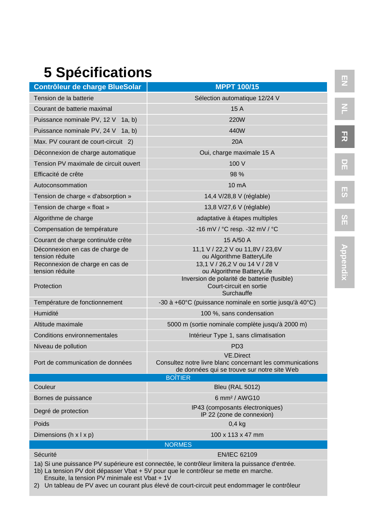## **5 Spécifications**

| Contrôleur de charge BlueSolar                                                                                                                                                          | <b>MPPT 100/15</b>                                                                                                           |  |
|-----------------------------------------------------------------------------------------------------------------------------------------------------------------------------------------|------------------------------------------------------------------------------------------------------------------------------|--|
| Tension de la batterie                                                                                                                                                                  | Sélection automatique 12/24 V                                                                                                |  |
| Courant de batterie maximal                                                                                                                                                             | 15 A                                                                                                                         |  |
| Puissance nominale PV, 12 V 1a, b)                                                                                                                                                      | <b>220W</b>                                                                                                                  |  |
| Puissance nominale PV, 24 V 1a, b)                                                                                                                                                      | 440W                                                                                                                         |  |
| Max. PV courant de court-circuit 2)                                                                                                                                                     | <b>20A</b>                                                                                                                   |  |
| Déconnexion de charge automatique                                                                                                                                                       | Oui, charge maximale 15 A                                                                                                    |  |
| Tension PV maximale de circuit ouvert                                                                                                                                                   | 100 V                                                                                                                        |  |
| Efficacité de crête                                                                                                                                                                     | 98 %                                                                                                                         |  |
| Autoconsommation                                                                                                                                                                        | 10 <sub>m</sub> A                                                                                                            |  |
| Tension de charge « d'absorption »                                                                                                                                                      | 14,4 V/28,8 V (réglable)                                                                                                     |  |
| Tension de charge « float »                                                                                                                                                             | 13,8 V/27,6 V (réglable)                                                                                                     |  |
| Algorithme de charge                                                                                                                                                                    | adaptative à étapes multiples                                                                                                |  |
| Compensation de température                                                                                                                                                             | -16 mV / °C resp. -32 mV / °C                                                                                                |  |
| Courant de charge continu/de crête                                                                                                                                                      | 15 A/50 A                                                                                                                    |  |
| Déconnexion en cas de charge de<br>tension réduite                                                                                                                                      | 11,1 V / 22,2 V ou 11,8V / 23,6V<br>ou Algorithme BatteryLife                                                                |  |
| Reconnexion de charge en cas de<br>tension réduite                                                                                                                                      | 13,1 V / 26,2 V ou 14 V / 28 V<br>ou Algorithme BatteryLife                                                                  |  |
| Protection                                                                                                                                                                              | Inversion de polarité de batterie (fusible)<br>Court-circuit en sortie<br>Surchauffe                                         |  |
| Température de fonctionnement                                                                                                                                                           | -30 à +60 $^{\circ}$ C (puissance nominale en sortie jusqu'à 40 $^{\circ}$ C)                                                |  |
| Humidité                                                                                                                                                                                | 100 %, sans condensation                                                                                                     |  |
| Altitude maximale                                                                                                                                                                       | 5000 m (sortie nominale complète jusqu'à 2000 m)                                                                             |  |
| <b>Conditions environnementales</b>                                                                                                                                                     | Intérieur Type 1, sans climatisation                                                                                         |  |
| Niveau de pollution                                                                                                                                                                     | PD <sub>3</sub>                                                                                                              |  |
| Port de communication de données                                                                                                                                                        | <b>VE.Direct</b><br>Consultez notre livre blanc concernant les communications<br>de données qui se trouve sur notre site Web |  |
|                                                                                                                                                                                         | <b>BOÎTIER</b>                                                                                                               |  |
| Couleur                                                                                                                                                                                 | <b>Bleu (RAL 5012)</b>                                                                                                       |  |
| Bornes de puissance                                                                                                                                                                     | 6 mm <sup>2</sup> / AWG10<br>IP43 (composants électroniques)                                                                 |  |
| Degré de protection                                                                                                                                                                     | IP 22 (zone de connexion)                                                                                                    |  |
| Poids                                                                                                                                                                                   | 0.4 <sub>kq</sub>                                                                                                            |  |
| Dimensions (h x l x p)                                                                                                                                                                  | 100 x 113 x 47 mm                                                                                                            |  |
| <b>NORMES</b>                                                                                                                                                                           |                                                                                                                              |  |
| Sécurité                                                                                                                                                                                | <b>EN/IEC 62109</b>                                                                                                          |  |
| 1a) Si une puissance PV supérieure est connectée, le contrôleur limitera la puissance d'entrée.<br>1b) La tension PV doit dépasser Vbat + 5V pour que le contrôleur se mette en marche. |                                                                                                                              |  |

Ensuite, la tension PV minimale est Vbat + 1V

2) Un tableau de PV avec un courant plus élevé de court-circuit peut endommager le contrôleur

**EN**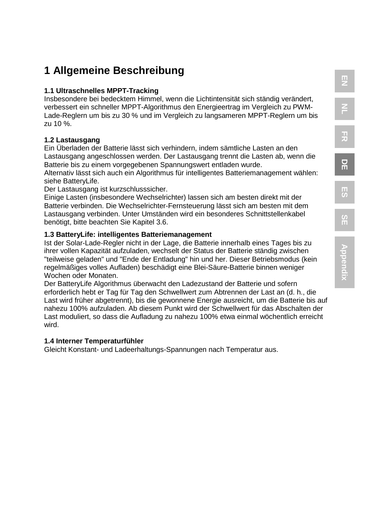### **1 Allgemeine Beschreibung**

#### **1.1 Ultraschnelles MPPT-Tracking**

Insbesondere bei bedecktem Himmel, wenn die Lichtintensität sich ständig verändert, verbessert ein schneller MPPT-Algorithmus den Energieertrag im Vergleich zu PWM-Lade-Reglern um bis zu 30 % und im Vergleich zu langsameren MPPT-Reglern um bis zu 10 %.

#### **1.2 Lastausgang**

Ein Überladen der Batterie lässt sich verhindern, indem sämtliche Lasten an den Lastausgang angeschlossen werden. Der Lastausgang trennt die Lasten ab, wenn die Batterie bis zu einem vorgegebenen Spannungswert entladen wurde.

Alternativ lässt sich auch ein Algorithmus für intelligentes Batteriemanagement wählen: siehe BatteryLife.

Der Lastausgang ist kurzschlusssicher.

Einige Lasten (insbesondere Wechselrichter) lassen sich am besten direkt mit der Batterie verbinden. Die Wechselrichter-Fernsteuerung lässt sich am besten mit dem Lastausgang verbinden. Unter Umständen wird ein besonderes Schnittstellenkabel benötigt, bitte beachten Sie Kapitel 3.6.

### **1.3 BatteryLife: intelligentes Batteriemanagement**

Ist der Solar-Lade-Regler nicht in der Lage, die Batterie innerhalb eines Tages bis zu ihrer vollen Kapazität aufzuladen, wechselt der Status der Batterie ständig zwischen "teilweise geladen" und "Ende der Entladung" hin und her. Dieser Betriebsmodus (kein regelmäßiges volles Aufladen) beschädigt eine Blei-Säure-Batterie binnen weniger Wochen oder Monaten.

Der BatteryLife Algorithmus überwacht den Ladezustand der Batterie und sofern erforderlich hebt er Tag für Tag den Schwellwert zum Abtrennen der Last an (d. h., die Last wird früher abgetrennt), bis die gewonnene Energie ausreicht, um die Batterie bis auf nahezu 100% aufzuladen. Ab diesem Punkt wird der Schwellwert für das Abschalten der Last moduliert, so dass die Aufladung zu nahezu 100% etwa einmal wöchentlich erreicht wird.

#### **1.4 Interner Temperaturfühler**

Gleicht Konstant- und Ladeerhaltungs-Spannungen nach Temperatur aus.

 $\overline{2}$ 

**D E**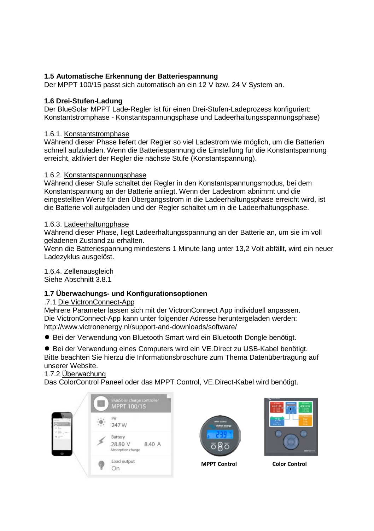#### **1.5 Automatische Erkennung der Batteriespannung**

Der MPPT 100/15 passt sich automatisch an ein 12 V bzw. 24 V System an.

#### **1.6 Drei-Stufen-Ladung**

Der BlueSolar MPPT Lade-Regler ist für einen Drei-Stufen-Ladeprozess konfiguriert: Konstantstromphase - Konstantspannungsphase und Ladeerhaltungsspannungsphase)

#### 1.6.1. Konstantstromphase

Während dieser Phase liefert der Regler so viel Ladestrom wie möglich, um die Batterien schnell aufzuladen. Wenn die Batteriespannung die Einstellung für die Konstantspannung erreicht, aktiviert der Regler die nächste Stufe (Konstantspannung).

#### 1.6.2. Konstantspannungsphase

Während dieser Stufe schaltet der Regler in den Konstantspannungsmodus, bei dem Konstantspannung an der Batterie anliegt. Wenn der Ladestrom abnimmt und die eingestellten Werte für den Übergangsstrom in die Ladeerhaltungsphase erreicht wird, ist die Batterie voll aufgeladen und der Regler schaltet um in die Ladeerhaltungsphase.

#### 1.6.3. Ladeerhaltungphase

Während dieser Phase, liegt Ladeerhaltungsspannung an der Batterie an, um sie im voll geladenen Zustand zu erhalten.

Wenn die Batteriespannung mindestens 1 Minute lang unter 13,2 Volt abfällt, wird ein neuer Ladezyklus ausgelöst.

1.6.4. Zellenausgleich

### Siehe Abschnitt 3.8.1

#### **1.7 Überwachungs- und Konfigurationsoptionen**

#### .7.1 Die VictronConnect-App

Mehrere Parameter lassen sich mit der VictronConnect App individuell anpassen. Die VictronConnect-App kann unter folgender Adresse heruntergeladen werden: http://www.victronenergy.nl/support-and-downloads/software/

● Bei der Verwendung von Bluetooth Smart wird ein Bluetooth Dongle benötigt.

● Bei der Verwendung eines Computers wird ein VE.Direct zu USB-Kabel benötigt. Bitte beachten Sie hierzu die Informationsbroschüre zum Thema Datenübertragung auf unserer Website.

#### 1.7.2 Überwachung

Das ColorControl Paneel oder das MPPT Control, VE.Direct-Kabel wird benötigt.







**MPPT Control Color Control**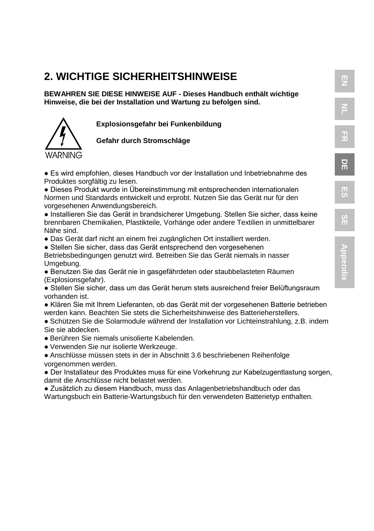### **2. WICHTIGE SICHERHEITSHINWEISE**

**BEWAHREN SIE DIESE HINWEISE AUF - Dieses Handbuch enthält wichtige Hinweise, die bei der Installation und Wartung zu befolgen sind.**

**Explosionsgefahr bei Funkenbildung**

#### **Gefahr durch Stromschläge**

● Es wird empfohlen, dieses Handbuch vor der Installation und Inbetriebnahme des Produktes sorgfältig zu lesen.

● Dieses Produkt wurde in Übereinstimmung mit entsprechenden internationalen Normen und Standards entwickelt und erprobt. Nutzen Sie das Gerät nur für den vorgesehenen Anwendungsbereich.

● Installieren Sie das Gerät in brandsicherer Umgebung. Stellen Sie sicher, dass keine brennbaren Chemikalien, Plastikteile, Vorhänge oder andere Textilien in unmittelbarer Nähe sind.

● Das Gerät darf nicht an einem frei zugänglichen Ort installiert werden.

● Stellen Sie sicher, dass das Gerät entsprechend den vorgesehenen Betriebsbedingungen genutzt wird. Betreiben Sie das Gerät niemals in nasser Umgebung.

● Benutzen Sie das Gerät nie in gasgefährdeten oder staubbelasteten Räumen (Explosionsgefahr).

● Stellen Sie sicher, dass um das Gerät herum stets ausreichend freier Belüftungsraum vorhanden ist.

● Klären Sie mit Ihrem Lieferanten, ob das Gerät mit der vorgesehenen Batterie betrieben werden kann. Beachten Sie stets die Sicherheitshinweise des Batterieherstellers.

● Schützen Sie die Solarmodule während der Installation vor Lichteinstrahlung, z.B. indem Sie sie abdecken.

- Berühren Sie niemals unisolierte Kabelenden.
- Verwenden Sie nur isolierte Werkzeuge.
- Anschlüsse müssen stets in der in Abschnitt 3.6 beschriebenen Reihenfolge vorgenommen werden.

WARNING

● Der Installateur des Produktes muss für eine Vorkehrung zur Kabelzugentlastung sorgen, damit die Anschlüsse nicht belastet werden.

● Zusätzlich zu diesem Handbuch, muss das Anlagenbetriebshandbuch oder das Wartungsbuch ein Batterie-Wartungsbuch für den verwendeten Batterietyp enthalten. **SE**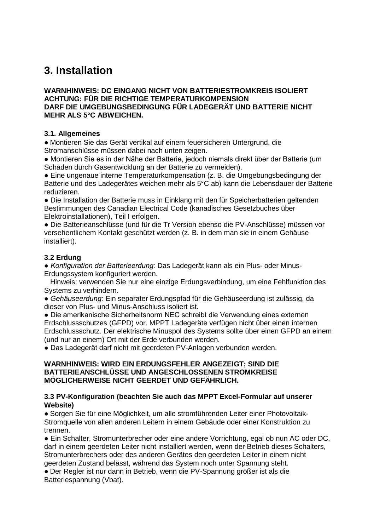### **3. Installation**

#### **WARNHINWEIS: DC EINGANG NICHT VON BATTERIESTROMKREIS ISOLIERT ACHTUNG: FÜR DIE RICHTIGE TEMPERATURKOMPENSION DARF DIE UMGEBUNGSBEDINGUNG FÜR LADEGERÄT UND BATTERIE NICHT MEHR ALS 5°C ABWEICHEN.**

#### **3.1. Allgemeines**

● Montieren Sie das Gerät vertikal auf einem feuersicheren Untergrund, die Stromanschlüsse müssen dabei nach unten zeigen.

● Montieren Sie es in der Nähe der Batterie, jedoch niemals direkt über der Batterie (um Schäden durch Gasentwicklung an der Batterie zu vermeiden).

● Eine ungenaue interne Temperaturkompensation (z. B. die Umgebungsbedingung der Batterie und des Ladegerätes weichen mehr als 5°C ab) kann die Lebensdauer der Batterie reduzieren.

● Die Installation der Batterie muss in Einklang mit den für Speicherbatterien geltenden Bestimmungen des Canadian Electrical Code (kanadisches Gesetzbuches über Elektroinstallationen), Teil I erfolgen.

● Die Batterieanschlüsse (und für die Tr Version ebenso die PV-Anschlüsse) müssen vor versehentlichem Kontakt geschützt werden (z. B. in dem man sie in einem Gehäuse installiert).

#### **3.2 Erdung**

*● Konfiguration der Batterieerdung:* Das Ladegerät kann als ein Plus- oder Minus-Erdungssystem konfiguriert werden.

 Hinweis: verwenden Sie nur eine einzige Erdungsverbindung, um eine Fehlfunktion des Systems zu verhindern.

● *Gehäuseerdung:* Ein separater Erdungspfad für die Gehäuseerdung ist zulässig, da dieser von Plus- und Minus-Anschluss isoliert ist.

● Die amerikanische Sicherheitsnorm NEC schreibt die Verwendung eines externen Erdschlussschutzes (GFPD) vor. MPPT Ladegeräte verfügen nicht über einen internen Erdschlussschutz. Der elektrische Minuspol des Systems sollte über einen GFPD an einem (und nur an einem) Ort mit der Erde verbunden werden.

● Das Ladegerät darf nicht mit geerdeten PV-Anlagen verbunden werden.

#### **WARNHINWEIS: WIRD EIN ERDUNGSFEHLER ANGEZEIGT; SIND DIE BATTERIEANSCHLÜSSE UND ANGESCHLOSSENEN STROMKREISE MÖGLICHERWEISE NICHT GEERDET UND GEFÄHRLICH.**

#### **3.3 PV-Konfiguration (beachten Sie auch das MPPT Excel-Formular auf unserer Website)**

● Sorgen Sie für eine Möglichkeit, um alle stromführenden Leiter einer Photovoltaik-Stromquelle von allen anderen Leitern in einem Gebäude oder einer Konstruktion zu trennen.

● Ein Schalter, Stromunterbrecher oder eine andere Vorrichtung, egal ob nun AC oder DC, darf in einem geerdeten Leiter nicht installiert werden, wenn der Betrieb dieses Schalters, Stromunterbrechers oder des anderen Gerätes den geerdeten Leiter in einem nicht geerdeten Zustand belässt, während das System noch unter Spannung steht.

● Der Regler ist nur dann in Betrieb, wenn die PV-Spannung größer ist als die Batteriespannung (Vbat).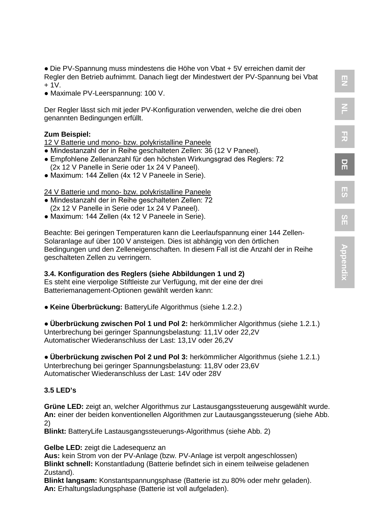● Die PV-Spannung muss mindestens die Höhe von Vbat + 5V erreichen damit der Regler den Betrieb aufnimmt. Danach liegt der Mindestwert der PV-Spannung bei Vbat  $+1V$ 

● Maximale PV-Leerspannung: 100 V.

Der Regler lässt sich mit jeder PV-Konfiguration verwenden, welche die drei oben genannten Bedingungen erfüllt.

#### **Zum Beispiel:**

12 V Batterie und mono- bzw. polykristalline Paneele

- Mindestanzahl der in Reihe geschalteten Zellen: 36 (12 V Paneel).
- Empfohlene Zellenanzahl für den höchsten Wirkungsgrad des Reglers: 72 (2x 12 V Panelle in Serie oder 1x 24 V Paneel).
- Maximum: 144 Zellen (4x 12 V Paneele in Serie).

#### 24 V Batterie und mono- bzw. polykristalline Paneele

- Mindestanzahl der in Reihe geschalteten Zellen: 72 (2x 12 V Panelle in Serie oder 1x 24 V Paneel).
- Maximum: 144 Zellen (4x 12 V Paneele in Serie).

Beachte: Bei geringen Temperaturen kann die Leerlaufspannung einer 144 Zellen-Solaranlage auf über 100 V ansteigen. Dies ist abhängig von den örtlichen Bedingungen und den Zelleneigenschaften. In diesem Fall ist die Anzahl der in Reihe geschalteten Zellen zu verringern.

#### **3.4. Konfiguration des Reglers (siehe Abbildungen 1 und 2)**

Es steht eine vierpolige Stiftleiste zur Verfügung, mit der eine der drei Batteriemanagement-Optionen gewählt werden kann:

● **Keine Überbrückung:** BatteryLife Algorithmus (siehe 1.2.2.)

● **Überbrückung zwischen Pol 1 und Pol 2:** herkömmlicher Algorithmus (siehe 1.2.1.) Unterbrechung bei geringer Spannungsbelastung: 11,1V oder 22,2V Automatischer Wiederanschluss der Last: 13,1V oder 26,2V

● **Überbrückung zwischen Pol 2 und Pol 3:** herkömmlicher Algorithmus (siehe 1.2.1.) Unterbrechung bei geringer Spannungsbelastung: 11,8V oder 23,6V Automatischer Wiederanschluss der Last: 14V oder 28V

#### **3.5 LED's**

**Grüne LED:** zeigt an, welcher Algorithmus zur Lastausgangssteuerung ausgewählt wurde. **An:** einer der beiden konventionellen Algorithmen zur Lautausgangssteuerung (siehe Abb. 2)

**Blinkt:** BatteryLife Lastausgangssteuerungs-Algorithmus (siehe Abb. 2)

**Gelbe LED:** zeigt die Ladesequenz an

**Aus:** kein Strom von der PV-Anlage (bzw. PV-Anlage ist verpolt angeschlossen) **Blinkt schnell:** Konstantladung (Batterie befindet sich in einem teilweise geladenen Zustand).

**Blinkt langsam:** Konstantspannungsphase (Batterie ist zu 80% oder mehr geladen). **An:** Erhaltungsladungsphase (Batterie ist voll aufgeladen).

**EN FR**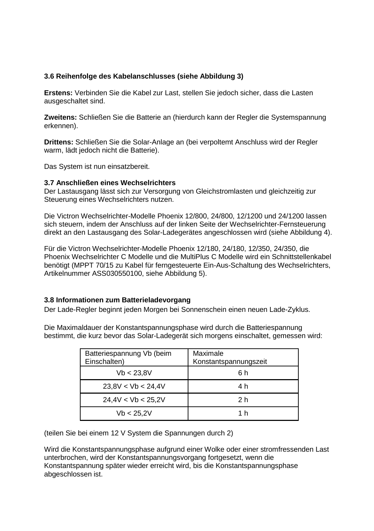#### **3.6 Reihenfolge des Kabelanschlusses (siehe Abbildung 3)**

**Erstens:** Verbinden Sie die Kabel zur Last, stellen Sie jedoch sicher, dass die Lasten ausgeschaltet sind.

**Zweitens:** Schließen Sie die Batterie an (hierdurch kann der Regler die Systemspannung erkennen).

**Drittens:** Schließen Sie die Solar-Anlage an (bei verpoltemt Anschluss wird der Regler warm, lädt jedoch nicht die Batterie).

Das System ist nun einsatzbereit.

#### **3.7 Anschließen eines Wechselrichters**

Der Lastausgang lässt sich zur Versorgung von Gleichstromlasten und gleichzeitig zur Steuerung eines Wechselrichters nutzen.

Die Victron Wechselrichter-Modelle Phoenix 12/800, 24/800, 12/1200 und 24/1200 lassen sich steuern, indem der Anschluss auf der linken Seite der Wechselrichter-Fernsteuerung direkt an den Lastausgang des Solar-Ladegerätes angeschlossen wird (siehe Abbildung 4).

Für die Victron Wechselrichter-Modelle Phoenix 12/180, 24/180, 12/350, 24/350, die Phoenix Wechselrichter C Modelle und die MultiPlus C Modelle wird ein Schnittstellenkabel benötigt (MPPT 70/15 zu Kabel für ferngesteuerte Ein-Aus-Schaltung des Wechselrichters, Artikelnummer ASS030550100, siehe Abbildung 5).

#### **3.8 Informationen zum Batterieladevorgang**

Der Lade-Regler beginnt jeden Morgen bei Sonnenschein einen neuen Lade-Zyklus.

Die Maximaldauer der Konstantspannungsphase wird durch die Batteriespannung bestimmt, die kurz bevor das Solar-Ladegerät sich morgens einschaltet, gemessen wird:

| Batteriespannung Vb (beim<br>Einschalten) | Maximale<br>Konstantspannungszeit |
|-------------------------------------------|-----------------------------------|
| Vb < 23.8V                                | ճ h                               |
| 23.8V < Vb < 24.4V                        | 4 h                               |
| 24.4V < Vb < 25.2V                        | 2 h                               |
| Vb < 25.2V                                | 1 h                               |

(teilen Sie bei einem 12 V System die Spannungen durch 2)

Wird die Konstantspannungsphase aufgrund einer Wolke oder einer stromfressenden Last unterbrochen, wird der Konstantspannungsvorgang fortgesetzt, wenn die Konstantspannung später wieder erreicht wird, bis die Konstantspannungsphase abgeschlossen ist.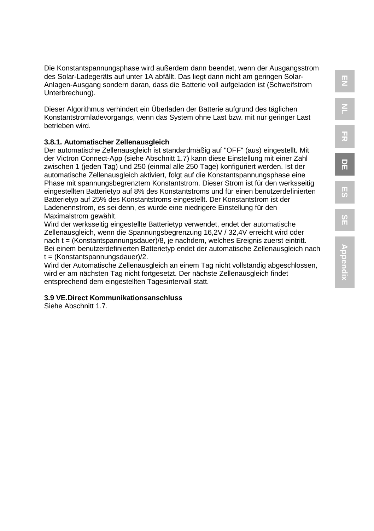Die Konstantspannungsphase wird außerdem dann beendet, wenn der Ausgangsstrom des Solar-Ladegeräts auf unter 1A abfällt. Das liegt dann nicht am geringen Solar-Anlagen-Ausgang sondern daran, dass die Batterie voll aufgeladen ist (Schweifstrom Unterbrechung).

Dieser Algorithmus verhindert ein Überladen der Batterie aufgrund des täglichen Konstantstromladevorgangs, wenn das System ohne Last bzw. mit nur geringer Last betrieben wird.

#### **3.8.1. Automatischer Zellenausgleich**

Der automatische Zellenausgleich ist standardmäßig auf "OFF" (aus) eingestellt. Mit der Victron Connect-App (siehe Abschnitt 1.7) kann diese Einstellung mit einer Zahl zwischen 1 (jeden Tag) und 250 (einmal alle 250 Tage) konfiguriert werden. Ist der automatische Zellenausgleich aktiviert, folgt auf die Konstantspannungsphase eine Phase mit spannungsbegrenztem Konstantstrom. Dieser Strom ist für den werksseitig eingestellten Batterietyp auf 8% des Konstantstroms und für einen benutzerdefinierten Batterietyp auf 25% des Konstantstroms eingestellt. Der Konstantstrom ist der Ladenennstrom, es sei denn, es wurde eine niedrigere Einstellung für den Maximalstrom gewählt.

Wird der werksseitig eingestellte Batterietyp verwendet, endet der automatische Zellenausgleich, wenn die Spannungsbegrenzung 16,2V / 32,4V erreicht wird oder nach t = (Konstantspannungsdauer)/8, je nachdem, welches Ereignis zuerst eintritt. Bei einem benutzerdefinierten Batterietyp endet der automatische Zellenausgleich nach t = (Konstantspannungsdauer)/2.

Wird der Automatische Zellenausgleich an einem Tag nicht vollständig abgeschlossen, wird er am nächsten Tag nicht fortgesetzt. Der nächste Zellenausgleich findet entsprechend dem eingestellten Tagesintervall statt.

#### **3.9 VE.Direct Kommunikationsanschluss**

Siehe Abschnitt 1.7.

**D E**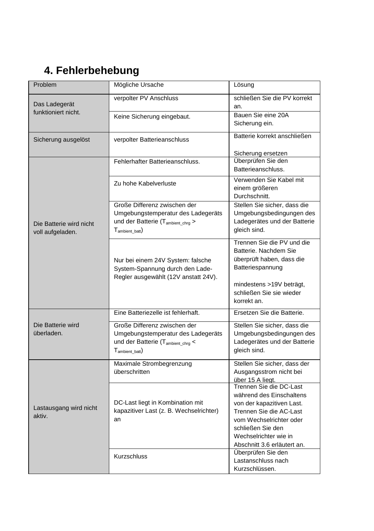### **4. Fehlerbehebung**

| Problem                                     | Mögliche Ursache                                                                                                                                | Lösung                                                                                                                                                                                                              |
|---------------------------------------------|-------------------------------------------------------------------------------------------------------------------------------------------------|---------------------------------------------------------------------------------------------------------------------------------------------------------------------------------------------------------------------|
| Das Ladegerät<br>funktioniert nicht.        | verpolter PV Anschluss                                                                                                                          | schließen Sie die PV korrekt<br>an.                                                                                                                                                                                 |
|                                             | Keine Sicherung eingebaut.                                                                                                                      | Bauen Sie eine 20A<br>Sicherung ein.                                                                                                                                                                                |
| Sicherung ausgelöst                         | verpolter Batterieanschluss                                                                                                                     | Batterie korrekt anschließen                                                                                                                                                                                        |
|                                             |                                                                                                                                                 | Sicherung ersetzen                                                                                                                                                                                                  |
|                                             | Fehlerhafter Batterieanschluss.                                                                                                                 | Überprüfen Sie den<br>Batterieanschluss.                                                                                                                                                                            |
|                                             | Zu hohe Kabelverluste                                                                                                                           | Verwenden Sie Kabel mit<br>einem größeren<br>Durchschnitt.                                                                                                                                                          |
| Die Batterie wird nicht<br>voll aufgeladen. | Große Differenz zwischen der<br>Umgebungstemperatur des Ladegeräts<br>und der Batterie (T <sub>ambient_chrg</sub> ><br>$T_{\text{ambient bat}}$ | Stellen Sie sicher, dass die<br>Umgebungsbedingungen des<br>Ladegerätes und der Batterie<br>gleich sind.                                                                                                            |
|                                             | Nur bei einem 24V System: falsche<br>System-Spannung durch den Lade-<br>Regler ausgewählt (12V anstatt 24V).                                    | Trennen Sie die PV und die<br>Batterie. Nachdem Sie<br>überprüft haben, dass die<br>Batteriespannung<br>mindestens >19V beträgt,                                                                                    |
|                                             |                                                                                                                                                 | schließen Sie sie wieder<br>korrekt an.                                                                                                                                                                             |
|                                             | Eine Batteriezelle ist fehlerhaft.                                                                                                              | Ersetzen Sie die Batterie.                                                                                                                                                                                          |
| Die Batterie wird                           | Große Differenz zwischen der                                                                                                                    | Stellen Sie sicher, dass die                                                                                                                                                                                        |
| überladen.                                  | Umgebungstemperatur des Ladegeräts                                                                                                              | Umgebungsbedingungen des                                                                                                                                                                                            |
|                                             | und der Batterie (Tambient_chrq <<br>$T_{\text{ambient bath}}$                                                                                  | Ladegerätes und der Batterie<br>gleich sind.                                                                                                                                                                        |
| Lastausgang wird nicht<br>aktiv.            | Maximale Strombegrenzung<br>überschritten                                                                                                       | Stellen Sie sicher, dass der<br>Ausgangsstrom nicht bei<br>über 15 A liegt.                                                                                                                                         |
|                                             | DC-Last liegt in Kombination mit<br>kapazitiver Last (z. B. Wechselrichter)<br>an                                                               | Trennen Sie die DC-Last<br>während des Einschaltens<br>von der kapazitiven Last.<br>Trennen Sie die AC-Last<br>vom Wechselrichter oder<br>schließen Sie den<br>Wechselrichter wie in<br>Abschnitt 3.6 erläutert an. |
|                                             | <b>Kurzschluss</b>                                                                                                                              | Überprüfen Sie den<br>Lastanschluss nach<br>Kurzschlüssen.                                                                                                                                                          |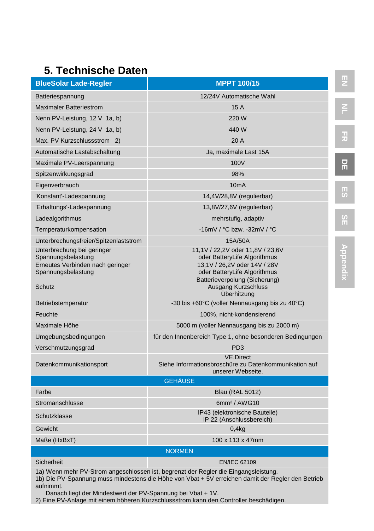### **5. Technische Daten**

| <b>BlueSolar Lade-Regler</b>                     | <b>MPPT 100/15</b>                                                                             |  |
|--------------------------------------------------|------------------------------------------------------------------------------------------------|--|
| Batteriespannung                                 | 12/24V Automatische Wahl                                                                       |  |
| <b>Maximaler Batteriestrom</b>                   | 15A                                                                                            |  |
| Nenn PV-Leistung, 12 V 1a, b)                    | 220 W                                                                                          |  |
| Nenn PV-Leistung, 24 V 1a, b)                    | 440 W                                                                                          |  |
| Max. PV Kurzschlussstrom 2)                      | 20 A                                                                                           |  |
| Automatische Lastabschaltung                     | Ja, maximale Last 15A                                                                          |  |
| Maximale PV-Leerspannung                         | 100V                                                                                           |  |
| Spitzenwirkungsgrad                              | 98%                                                                                            |  |
| Eigenverbrauch                                   | 10 <sub>m</sub> A                                                                              |  |
| 'Konstant'-Ladespannung                          | 14,4V/28,8V (regulierbar)                                                                      |  |
| 'Erhaltungs'-Ladespannung                        | 13,8V/27,6V (regulierbar)                                                                      |  |
| Ladealgorithmus                                  | mehrstufig, adaptiv                                                                            |  |
| Temperaturkompensation                           | -16mV / °C bzw. -32mV / °C                                                                     |  |
| Unterbrechungsfreier/Spitzenlaststrom            | 15A/50A                                                                                        |  |
| Unterbrechung bei geringer<br>Spannungsbelastung | 11,1V / 22,2V oder 11,8V / 23,6V<br>oder BatteryLife Algorithmus                               |  |
| Erneutes Verbinden nach geringer                 | 13,1V / 26,2V oder 14V / 28V                                                                   |  |
| Spannungsbelastung                               | oder BatteryLife Algorithmus<br>Batterieverpolung (Sicherung)                                  |  |
| Schutz                                           | Ausgang Kurzschluss<br>Überhitzung                                                             |  |
| Betriebstemperatur                               | -30 bis +60°C (voller Nennausgang bis zu 40°C)                                                 |  |
| Feuchte                                          | 100%, nicht-kondensierend                                                                      |  |
| Maximale Höhe                                    | 5000 m (voller Nennausgang bis zu 2000 m)                                                      |  |
| Umgebungsbedingungen                             | für den Innenbereich Type 1, ohne besonderen Bedingungen                                       |  |
| Verschmutzungsgrad                               | PD <sub>3</sub>                                                                                |  |
| Datenkommunikationsport                          | <b>VE.Direct</b><br>Siehe Informationsbroschüre zu Datenkommunikation auf<br>unserer Webseite. |  |
| <b>GEHÄUSE</b>                                   |                                                                                                |  |
| Farbe                                            | Blau (RAL 5012)                                                                                |  |
| Stromanschlüsse                                  | 6mm <sup>2</sup> / AWG10                                                                       |  |
| Schutzklasse                                     | IP43 (elektronische Bauteile)<br>IP 22 (Anschlussbereich)                                      |  |
| Gewicht                                          | 0,4kg                                                                                          |  |
| Maße (HxBxT)                                     | 100 x 113 x 47mm                                                                               |  |
| <b>NORMEN</b>                                    |                                                                                                |  |
| Sicherheit                                       | <b>EN/IEC 62109</b>                                                                            |  |

1a) Wenn mehr PV-Strom angeschlossen ist, begrenzt der Regler die Eingangsleistung.

1b) Die PV-Spannung muss mindestens die Höhe von Vbat + 5V erreichen damit der Regler den Betrieb aufnimmt.

Danach liegt der Mindestwert der PV-Spannung bei Vbat + 1V.

2) Eine PV-Anlage mit einem höheren Kurzschlussstrom kann den Controller beschädigen.

**D E**

**FR**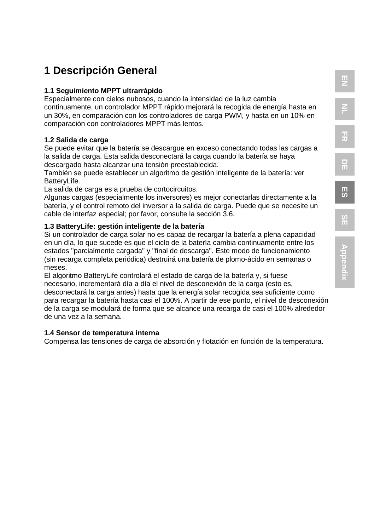# **NL FR**

**EN**

### **1 Descripción General**

#### **1.1 Seguimiento MPPT ultrarrápido**

Especialmente con cielos nubosos, cuando la intensidad de la luz cambia continuamente, un controlador MPPT rápido mejorará la recogida de energía hasta en un 30%, en comparación con los controladores de carga PWM, y hasta en un 10% en comparación con controladores MPPT más lentos.

#### **1.2 Salida de carga**

Se puede evitar que la batería se descargue en exceso conectando todas las cargas a la salida de carga. Esta salida desconectará la carga cuando la batería se haya descargado hasta alcanzar una tensión preestablecida.

También se puede establecer un algoritmo de gestión inteligente de la batería: ver BatteryLife.

La salida de carga es a prueba de cortocircuitos.

Algunas cargas (especialmente los inversores) es mejor conectarlas directamente a la batería, y el control remoto del inversor a la salida de carga. Puede que se necesite un cable de interfaz especial; por favor, consulte la sección 3.6.

#### **1.3 BatteryLife: gestión inteligente de la batería**

Si un controlador de carga solar no es capaz de recargar la batería a plena capacidad en un día, lo que sucede es que el ciclo de la batería cambia continuamente entre los estados "parcialmente cargada" y "final de descarga". Este modo de funcionamiento (sin recarga completa periódica) destruirá una batería de plomo-ácido en semanas o meses.

El algoritmo BatteryLife controlará el estado de carga de la batería y, si fuese necesario, incrementará día a día el nivel de desconexión de la carga (esto es, desconectará la carga antes) hasta que la energía solar recogida sea suficiente como para recargar la batería hasta casi el 100%. A partir de ese punto, el nivel de desconexión de la carga se modulará de forma que se alcance una recarga de casi el 100% alrededor de una vez a la semana.

#### **1.4 Sensor de temperatura interna**

Compensa las tensiones de carga de absorción y flotación en función de la temperatura.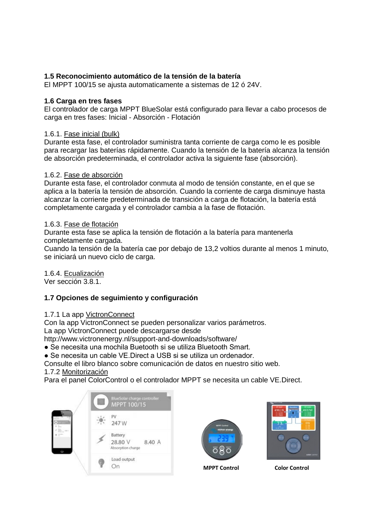#### **1.5 Reconocimiento automático de la tensión de la batería**

El MPPT 100/15 se ajusta automaticamente a sistemas de 12 ó 24V.

#### **1.6 Carga en tres fases**

El controlador de carga MPPT BlueSolar está configurado para llevar a cabo procesos de carga en tres fases: Inicial - Absorción - Flotación

#### 1.6.1. Fase inicial (bulk)

Durante esta fase, el controlador suministra tanta corriente de carga como le es posible para recargar las baterías rápidamente. Cuando la tensión de la batería alcanza la tensión de absorción predeterminada, el controlador activa la siguiente fase (absorción).

#### 1.6.2. Fase de absorción

Durante esta fase, el controlador conmuta al modo de tensión constante, en el que se aplica a la batería la tensión de absorción. Cuando la corriente de carga disminuye hasta alcanzar la corriente predeterminada de transición a carga de flotación, la batería está completamente cargada y el controlador cambia a la fase de flotación.

#### 1.6.3. Fase de flotación

Durante esta fase se aplica la tensión de flotación a la batería para mantenerla completamente cargada.

Cuando la tensión de la batería cae por debajo de 13,2 voltios durante al menos 1 minuto, se iniciará un nuevo ciclo de carga.

1.6.4. Ecualización

Ver sección 3.8.1.

#### **1.7 Opciones de seguimiento y configuración**

#### 1.7.1 La app VictronConnect

Con la app VictronConnect se pueden personalizar varios parámetros.

La app VictronConnect puede descargarse desde

http://www.victronenergy.nl/support-and-downloads/software/

● Se necesita una mochila Buetooth si se utiliza Bluetooth Smart.

● Se necesita un cable VE.Direct a USB si se utiliza un ordenador.

Consulte el libro blanco sobre comunicación de datos en nuestro sitio web. 1.7.2 Monitorización

Para el panel ColorControl o el controlador MPPT se necesita un cable VE.Direct.





**MPPT Control Color Control**

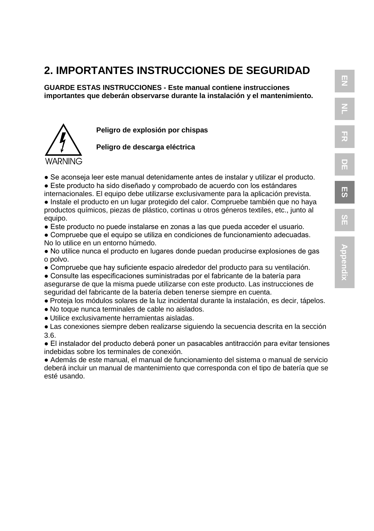### **2. IMPORTANTES INSTRUCCIONES DE SEGURIDAD**

**GUARDE ESTAS INSTRUCCIONES - Este manual contiene instrucciones importantes que deberán observarse durante la instalación y el mantenimiento.**



**Peligro de explosión por chispas**

**Peligro de descarga eléctrica**

- Se aconseia leer este manual detenidamente antes de instalar y utilizar el producto.
- Este producto ha sido diseñado y comprobado de acuerdo con los estándares
- internacionales. El equipo debe utilizarse exclusivamente para la aplicación prevista. ● Instale el producto en un lugar protegido del calor. Compruebe también que no haya productos químicos, piezas de plástico, cortinas u otros géneros textiles, etc., junto al equipo.
- Este producto no puede instalarse en zonas a las que pueda acceder el usuario.
- Compruebe que el equipo se utiliza en condiciones de funcionamiento adecuadas. No lo utilice en un entorno húmedo.
- No utilice nunca el producto en lugares donde puedan producirse explosiones de gas o polvo.
- Compruebe que hay suficiente espacio alrededor del producto para su ventilación.
- Consulte las especificaciones suministradas por el fabricante de la batería para asegurarse de que la misma puede utilizarse con este producto. Las instrucciones de seguridad del fabricante de la batería deben tenerse siempre en cuenta.
- Proteja los módulos solares de la luz incidental durante la instalación, es decir, tápelos.
- No toque nunca terminales de cable no aislados.
- Utilice exclusivamente herramientas aisladas.

● Las conexiones siempre deben realizarse siguiendo la secuencia descrita en la sección 3.6.

● El instalador del producto deberá poner un pasacables antitracción para evitar tensiones indebidas sobre los terminales de conexión.

● Además de este manual, el manual de funcionamiento del sistema o manual de servicio deberá incluir un manual de mantenimiento que corresponda con el tipo de batería que se esté usando.

**DE**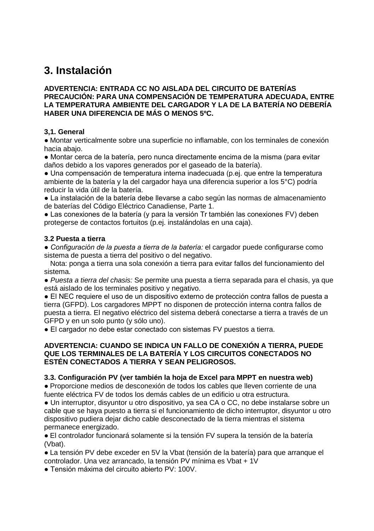### **3. Instalación**

#### **ADVERTENCIA: ENTRADA CC NO AISLADA DEL CIRCUITO DE BATERÍAS PRECAUCIÓN: PARA UNA COMPENSACIÓN DE TEMPERATURA ADECUADA, ENTRE LA TEMPERATURA AMBIENTE DEL CARGADOR Y LA DE LA BATERÍA NO DEBERÍA HABER UNA DIFERENCIA DE MÁS O MENOS 5ºC.**

#### **3,1. General**

● Montar verticalmente sobre una superficie no inflamable, con los terminales de conexión hacia abajo.

● Montar cerca de la batería, pero nunca directamente encima de la misma (para evitar daños debido a los vapores generados por el gaseado de la batería).

● Una compensación de temperatura interna inadecuada (p.ej. que entre la temperatura ambiente de la batería y la del cargador haya una diferencia superior a los 5°C) podría reducir la vida útil de la batería.

● La instalación de la batería debe llevarse a cabo según las normas de almacenamiento de baterías del Código Eléctrico Canadiense, Parte 1.

● Las conexiones de la batería (y para la versión Tr también las conexiones FV) deben protegerse de contactos fortuitos (p.ej. instalándolas en una caja).

#### **3.2 Puesta a tierra**

*● Configuración de la puesta a tierra de la batería:* el cargador puede configurarse como sistema de puesta a tierra del positivo o del negativo.

 Nota: ponga a tierra una sola conexión a tierra para evitar fallos del funcionamiento del sistema.

● *Puesta a tierra del chasis:* Se permite una puesta a tierra separada para el chasis, ya que está aislado de los terminales positivo y negativo.

● El NEC requiere el uso de un dispositivo externo de protección contra fallos de puesta a tierra (GFPD). Los cargadores MPPT no disponen de protección interna contra fallos de puesta a tierra. El negativo eléctrico del sistema deberá conectarse a tierra a través de un GFPD y en un solo punto (y sólo uno).

● El cargador no debe estar conectado con sistemas FV puestos a tierra.

#### **ADVERTENCIA: CUANDO SE INDICA UN FALLO DE CONEXIÓN A TIERRA, PUEDE QUE LOS TERMINALES DE LA BATERÍA Y LOS CIRCUITOS CONECTADOS NO ESTÉN CONECTADOS A TIERRA Y SEAN PELIGROSOS.**

#### **3.3. Configuración PV (ver también la hoja de Excel para MPPT en nuestra web)**

● Proporcione medios de desconexión de todos los cables que lleven corriente de una fuente eléctrica FV de todos los demás cables de un edificio u otra estructura.

● Un interruptor, disyuntor u otro dispositivo, ya sea CA o CC, no debe instalarse sobre un cable que se haya puesto a tierra si el funcionamiento de dicho interruptor, disyuntor u otro dispositivo pudiera dejar dicho cable desconectado de la tierra mientras el sistema permanece energizado.

● El controlador funcionará solamente si la tensión FV supera la tensión de la batería (Vbat).

● La tensión PV debe exceder en 5V la Vbat (tensión de la batería) para que arranque el controlador. Una vez arrancado, la tensión PV mínima es Vbat + 1V

● Tensión máxima del circuito abierto PV: 100V.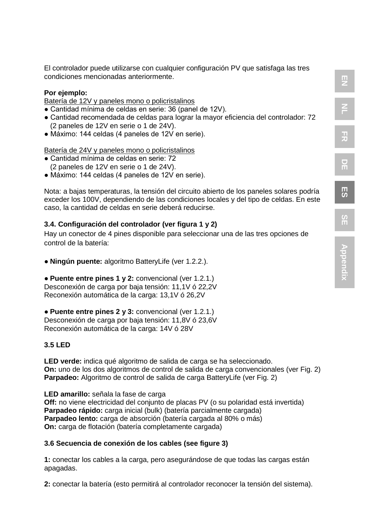**DE**

**ES**

**SE**

El controlador puede utilizarse con cualquier configuración PV que satisfaga las tres condiciones mencionadas anteriormente.

#### **Por ejemplo:**

Batería de 12V y paneles mono o policristalinos

- Cantidad mínima de celdas en serie: 36 (panel de 12V).
- Cantidad recomendada de celdas para lograr la mayor eficiencia del controlador: 72 (2 paneles de 12V en serie o 1 de 24V).
- Máximo: 144 celdas (4 paneles de 12V en serie).

Batería de 24V y paneles mono o policristalinos

- Cantidad mínima de celdas en serie: 72 (2 paneles de 12V en serie o 1 de 24V).
- Máximo: 144 celdas (4 paneles de 12V en serie).

Nota: a bajas temperaturas, la tensión del circuito abierto de los paneles solares podría exceder los 100V, dependiendo de las condiciones locales y del tipo de celdas. En este caso, la cantidad de celdas en serie deberá reducirse.

#### **3.4. Configuración del controlador (ver figura 1 y 2)**

Hay un conector de 4 pines disponible para seleccionar una de las tres opciones de control de la batería:

● **Ningún puente:** algoritmo BatteryLife (ver 1.2.2.).

● **Puente entre pines 1 y 2:** convencional (ver 1.2.1.) Desconexión de carga por baja tensión: 11,1V ó 22,2V Reconexión automática de la carga: 13,1V ó 26,2V

● **Puente entre pines 2 y 3:** convencional (ver 1.2.1.) Desconexión de carga por baja tensión: 11,8V ó 23,6V Reconexión automática de la carga: 14V ó 28V

#### **3.5 LED**

**LED verde:** indica qué algoritmo de salida de carga se ha seleccionado. **On:** uno de los dos algoritmos de control de salida de carga convencionales (ver Fig. 2) **Parpadeo:** Algoritmo de control de salida de carga BatteryLife (ver Fig. 2)

**LED amarillo:** señala la fase de carga **Off:** no viene electricidad del conjunto de placas PV (o su polaridad está invertida) **Parpadeo rápido:** carga inicial (bulk) (batería parcialmente cargada) **Parpadeo lento:** carga de absorción (batería cargada al 80% o más) **On:** carga de flotación (batería completamente cargada)

#### **3.6 Secuencia de conexión de los cables (see figure 3)**

**1:** conectar los cables a la carga, pero asegurándose de que todas las cargas están apagadas.

**2:** conectar la batería (esto permitirá al controlador reconocer la tensión del sistema).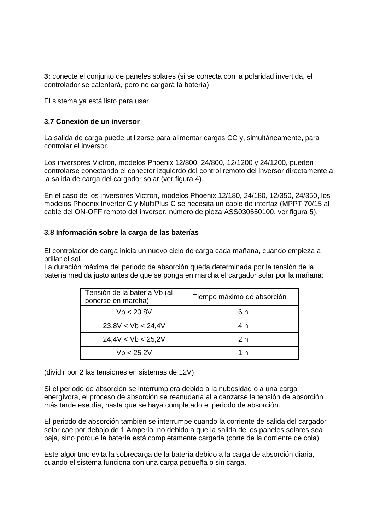**3:** conecte el conjunto de paneles solares (si se conecta con la polaridad invertida, el controlador se calentará, pero no cargará la batería)

El sistema ya está listo para usar.

#### **3.7 Conexión de un inversor**

La salida de carga puede utilizarse para alimentar cargas CC y, simultáneamente, para controlar el inversor.

Los inversores Victron, modelos Phoenix 12/800, 24/800, 12/1200 y 24/1200, pueden controlarse conectando el conector izquierdo del control remoto del inversor directamente a la salida de carga del cargador solar (ver figura 4).

En el caso de los inversores Victron, modelos Phoenix 12/180, 24/180, 12/350, 24/350, los modelos Phoenix Inverter C y MultiPlus C se necesita un cable de interfaz (MPPT 70/15 al cable del ON-OFF remoto del inversor, número de pieza ASS030550100, ver figura 5).

#### **3.8 Información sobre la carga de las baterías**

El controlador de carga inicia un nuevo ciclo de carga cada mañana, cuando empieza a brillar el sol.

La duración máxima del periodo de absorción queda determinada por la tensión de la batería medida justo antes de que se ponga en marcha el cargador solar por la mañana:

| Tensión de la batería Vb (al<br>ponerse en marcha) | Tiempo máximo de absorción |  |  |
|----------------------------------------------------|----------------------------|--|--|
| Vb < 23.8V                                         | ճ h                        |  |  |
| 23.8V < Vb < 24.4V                                 | 4 h                        |  |  |
| 24.4V < Vb < 25.2V                                 | 2 h                        |  |  |
| Vb < 25.2V                                         | 1 h                        |  |  |

(dividir por 2 las tensiones en sistemas de 12V)

Si el periodo de absorción se interrumpiera debido a la nubosidad o a una carga energívora, el proceso de absorción se reanudaría al alcanzarse la tensión de absorción más tarde ese día, hasta que se haya completado el periodo de absorción.

El periodo de absorción también se interrumpe cuando la corriente de salida del cargador solar cae por debajo de 1 Amperio, no debido a que la salida de los paneles solares sea baja, sino porque la batería está completamente cargada (corte de la corriente de cola).

Este algoritmo evita la sobrecarga de la batería debido a la carga de absorción diaria, cuando el sistema funciona con una carga pequeña o sin carga.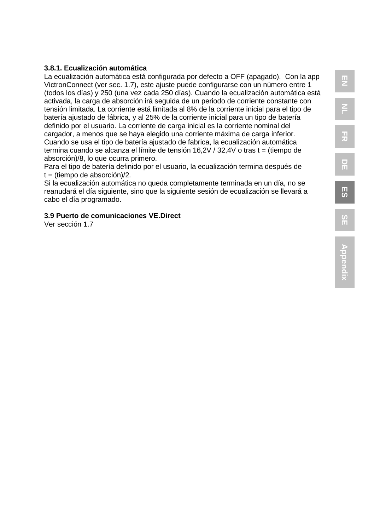#### **3.8.1. Ecualización automática**

La ecualización automática está configurada por defecto a OFF (apagado). Con la app VictronConnect (ver sec. 1.7), este ajuste puede configurarse con un número entre 1 (todos los días) y 250 (una vez cada 250 días). Cuando la ecualización automática está activada, la carga de absorción irá seguida de un periodo de corriente constante con tensión limitada. La corriente está limitada al 8% de la corriente inicial para el tipo de batería ajustado de fábrica, y al 25% de la corriente inicial para un tipo de batería definido por el usuario. La corriente de carga inicial es la corriente nominal del cargador, a menos que se haya elegido una corriente máxima de carga inferior. Cuando se usa el tipo de batería ajustado de fabrica, la ecualización automática termina cuando se alcanza el límite de tensión 16,2V / 32,4V o tras t = (tiempo de absorción)/8, lo que ocurra primero.

Para el tipo de batería definido por el usuario, la ecualización termina después de  $t = (t$ iempo de absorción $)/2$ .

Si la ecualización automática no queda completamente terminada en un día, no se reanudará el día siguiente, sino que la siguiente sesión de ecualización se llevará a cabo el día programado.

#### **3.9 Puerto de comunicaciones VE.Direct**

Ver sección 1.7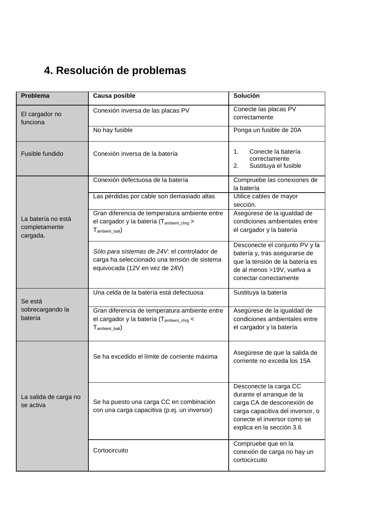### **4. Resolución de problemas**

| Problema                                        | Causa posible                                                                                                                      | Solución                                                                                                                                                                          |  |  |
|-------------------------------------------------|------------------------------------------------------------------------------------------------------------------------------------|-----------------------------------------------------------------------------------------------------------------------------------------------------------------------------------|--|--|
| El cargador no<br>funciona                      | Conexión inversa de las placas PV                                                                                                  | Conecte las placas PV<br>correctamente                                                                                                                                            |  |  |
|                                                 | No hay fusible                                                                                                                     | Ponga un fusible de 20A                                                                                                                                                           |  |  |
| Fusible fundido                                 | Conexión inversa de la batería                                                                                                     | 1.<br>Conecte la batería<br>correctamente<br>2.<br>Sustituya el fusible                                                                                                           |  |  |
|                                                 | Conexión defectuosa de la batería                                                                                                  | Compruebe las conexiones de<br>la batería                                                                                                                                         |  |  |
|                                                 | Las pérdidas por cable son demasiado altas                                                                                         | Utilice cables de mayor<br>sección.                                                                                                                                               |  |  |
| La batería no está<br>completamente<br>cargada. | Gran diferencia de temperatura ambiente entre<br>el cargador y la batería (T <sub>ambient chra</sub> ><br>$T_{\text{ambient hat}}$ | Asegúrese de la igualdad de<br>condiciones ambientales entre<br>el cargador y la batería                                                                                          |  |  |
|                                                 | Sólo para sistemas de 24V: el controlador de<br>carga ha seleccionado una tensión de sistema<br>equivocada (12V en vez de 24V)     | Desconecte el conjunto PV y la<br>batería y, tras asegurarse de<br>que la tensión de la batería es<br>de al menos >19V, vuelva a<br>conectar correctamente                        |  |  |
| Se está                                         | Una celda de la batería está defectuosa                                                                                            | Sustituya la batería                                                                                                                                                              |  |  |
| sobrecargando la<br>batería                     | Gran diferencia de temperatura ambiente entre<br>el cargador y la batería (T <sub>ambient chra</sub> <<br>$T_{ambient\;bat}$       | Asegúrese de la igualdad de<br>condiciones ambientales entre<br>el cargador y la batería                                                                                          |  |  |
|                                                 | Se ha excedido el límite de corriente máxima                                                                                       | Asegúrese de que la salida de<br>corriente no exceda los 15A                                                                                                                      |  |  |
| La salida de carga no<br>se activa              | Se ha puesto una carga CC en combinación<br>con una carga capacitiva (p.ej. un inversor)                                           | Desconecte la carga CC<br>durante el arranque de la<br>carga CA de desconexión de<br>carga capacitiva del inversor, o<br>conecte el inversor como se<br>explica en la sección 3.6 |  |  |
|                                                 | Cortocircuito                                                                                                                      | Compruebe que en la<br>conexión de carga no hay un<br>cortocircuito                                                                                                               |  |  |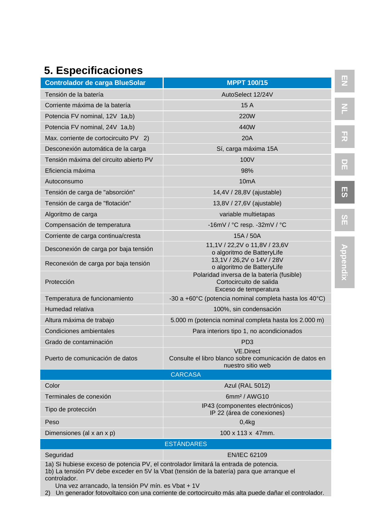### **5. Especificaciones**

| <b>Controlador de carga BlueSolar</b><br><b>MPPT 100/15</b>                                                                                                                        |                                                                                                                             |                |  |
|------------------------------------------------------------------------------------------------------------------------------------------------------------------------------------|-----------------------------------------------------------------------------------------------------------------------------|----------------|--|
| Tensión de la batería                                                                                                                                                              | AutoSelect 12/24V                                                                                                           |                |  |
| Corriente máxima de la batería                                                                                                                                                     | 15 A                                                                                                                        |                |  |
| Potencia FV nominal, 12V 1a,b)                                                                                                                                                     | <b>220W</b>                                                                                                                 |                |  |
| Potencia FV nominal, 24V 1a,b)                                                                                                                                                     | 440W                                                                                                                        |                |  |
| Max. corriente de cortocircuito PV 2)                                                                                                                                              | 20A                                                                                                                         |                |  |
| Desconexión automática de la carga                                                                                                                                                 | Sí, carga máxima 15A                                                                                                        |                |  |
| Tensión máxima del circuito abierto PV                                                                                                                                             | 100V                                                                                                                        |                |  |
| Eficiencia máxima                                                                                                                                                                  | 98%                                                                                                                         | ш              |  |
| Autoconsumo                                                                                                                                                                        | 10 <sub>m</sub> A                                                                                                           |                |  |
| Tensión de carga de "absorción"                                                                                                                                                    | 14,4V / 28,8V (ajustable)                                                                                                   | 男の             |  |
| Tensión de carga de "flotación"                                                                                                                                                    | 13,8V / 27,6V (ajustable)                                                                                                   |                |  |
| Algoritmo de carga                                                                                                                                                                 | variable multietapas                                                                                                        |                |  |
| Compensación de temperatura                                                                                                                                                        | -16mV / $°C$ resp. -32mV / $°C$                                                                                             | $\frac{5}{11}$ |  |
| Corriente de carga continua/cresta                                                                                                                                                 | 15A / 50A                                                                                                                   |                |  |
| Desconexión de carga por baja tensión                                                                                                                                              | 11,1V / 22,2V o 11,8V / 23,6V<br>o algoritmo de BatteryLife                                                                 |                |  |
| Reconexión de carga por baja tensión                                                                                                                                               | 13,1V / 26,2V o 14V / 28V                                                                                                   |                |  |
| Protección                                                                                                                                                                         | o algoritmo de BatteryLife<br>Polaridad inversa de la batería (fusible)<br>Cortocircuito de salida<br>Exceso de temperatura | Appendix       |  |
| Temperatura de funcionamiento                                                                                                                                                      | -30 a +60 $^{\circ}$ C (potencia nominal completa hasta los 40 $^{\circ}$ C)                                                |                |  |
| Humedad relativa                                                                                                                                                                   | 100%, sin condensación                                                                                                      |                |  |
| Altura máxima de trabajo                                                                                                                                                           | 5.000 m (potencia nominal completa hasta los 2.000 m)                                                                       |                |  |
| Condiciones ambientales                                                                                                                                                            | Para interiors tipo 1, no acondicionados                                                                                    |                |  |
| Grado de contaminación                                                                                                                                                             | PD <sub>3</sub>                                                                                                             |                |  |
| Puerto de comunicación de datos                                                                                                                                                    | <b>VE.Direct</b><br>Consulte el libro blanco sobre comunicación de datos en<br>nuestro sitio web                            |                |  |
|                                                                                                                                                                                    | <b>CARCASA</b>                                                                                                              |                |  |
| Color                                                                                                                                                                              | Azul (RAL 5012)                                                                                                             |                |  |
| Terminales de conexión                                                                                                                                                             | 6mm <sup>2</sup> / AWG10                                                                                                    |                |  |
| Tipo de protección                                                                                                                                                                 | IP43 (componentes electrónicos)<br>IP 22 (área de conexiones)                                                               |                |  |
| Peso                                                                                                                                                                               | 0,4kg                                                                                                                       |                |  |
| Dimensiones (al x an x p)                                                                                                                                                          | 100 x 113 x 47mm.                                                                                                           |                |  |
|                                                                                                                                                                                    | <b>ESTÁNDARES</b>                                                                                                           |                |  |
| Seguridad                                                                                                                                                                          | <b>EN/IEC 62109</b>                                                                                                         |                |  |
| 1a) Si hubiese exceso de potencia PV, el controlador limitará la entrada de potencia.<br>1b) La tensión PV debe exceder en 5V la Vbat (tensión de la batería) para que arranque el |                                                                                                                             |                |  |

controlador. Una vez arrancado, la tensión PV mín. es Vbat + 1V

2) Un generador fotovoltaico con una corriente de cortocircuito más alta puede dañar el controlador.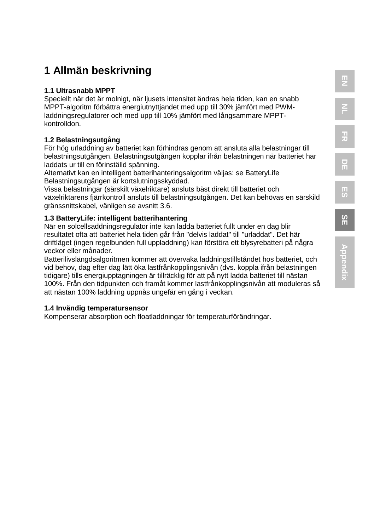# **EN NL**

### **1 Allmän beskrivning**

#### **1.1 Ultrasnabb MPPT**

Speciellt när det är molnigt, när ljusets intensitet ändras hela tiden, kan en snabb MPPT-algoritm förbättra energiutnyttjandet med upp till 30% jämfört med PWMladdningsregulatorer och med upp till 10% jämfört med långsammare MPPTkontrolldon.

#### **1.2 Belastningsutgång**

För hög urladdning av batteriet kan förhindras genom att ansluta alla belastningar till belastningsutgången. Belastningsutgången kopplar ifrån belastningen när batteriet har laddats ur till en förinställd spänning.

Alternativt kan en intelligent batterihanteringsalgoritm väljas: se BatteryLife Belastningsutgången är kortslutningsskyddad.

Vissa belastningar (särskilt växelriktare) ansluts bäst direkt till batteriet och växelriktarens fjärrkontroll ansluts till belastningsutgången. Det kan behövas en särskild gränssnittskabel, vänligen se avsnitt 3.6.

### **1.3 BatteryLife: intelligent batterihantering**

När en solcellsaddningsregulator inte kan ladda batteriet fullt under en dag blir resultatet ofta att batteriet hela tiden går från "delvis laddat" till "urladdat". Det här driftläget (ingen regelbunden full uppladdning) kan förstöra ett blysyrebatteri på några veckor eller månader.

Batterilivslängdsalgoritmen kommer att övervaka laddningstillståndet hos batteriet, och vid behov, dag efter dag lätt öka lastfrånkopplingsnivån (dvs. koppla ifrån belastningen tidigare) tills energiupptagningen är tillräcklig för att på nytt ladda batteriet till nästan 100%. Från den tidpunkten och framåt kommer lastfrånkopplingsnivån att moduleras så att nästan 100% laddning uppnås ungefär en gång i veckan.

#### **1.4 Invändig temperatursensor**

Kompenserar absorption och floatladdningar för temperaturförändringar.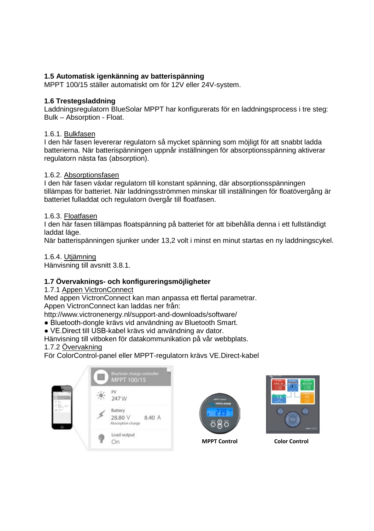#### **1.5 Automatisk igenkänning av batterispänning**

MPPT 100/15 ställer automatiskt om för 12V eller 24V-system.

#### **1.6 Trestegsladdning**

Laddningsregulatorn BlueSolar MPPT har konfigurerats för en laddningsprocess i tre steg: Bulk – Absorption - Float.

#### 1.6.1. Bulkfasen

I den här fasen levererar regulatorn så mycket spänning som möjligt för att snabbt ladda batterierna. När batterispänningen uppnår inställningen för absorptionsspänning aktiverar regulatorn nästa fas (absorption).

#### 1.6.2. Absorptionsfasen

I den här fasen växlar regulatorn till konstant spänning, där absorptionsspänningen tillämpas för batteriet. När laddningsströmmen minskar till inställningen för floatövergång är batteriet fulladdat och regulatorn övergår till floatfasen.

#### 1.6.3. Floatfasen

I den här fasen tillämpas floatspänning på batteriet för att bibehålla denna i ett fullständigt laddat läge.

När batterispänningen sjunker under 13,2 volt i minst en minut startas en ny laddningscykel.

1.6.4. Utjämning

Hänvisning till avsnitt 3.8.1.

#### **1.7 Övervaknings- och konfigureringsmöjligheter**

#### 1.7.1 Appen VictronConnect

Med appen VictronConnect kan man anpassa ett flertal parametrar. Appen VictronConnect kan laddas ner från:

http://www.victronenergy.nl/support-and-downloads/software/

- Bluetooth-dongle krävs vid användning av Bluetooth Smart.
- VE.Direct till USB-kabel krävs vid användning av dator.

Hänvisning till vitboken för datakommunikation på vår webbplats.

#### 1.7.2 Övervakning

För ColorControl-panel eller MPPT-regulatorn krävs VE.Direct-kabel







**MPPT Control Color Control**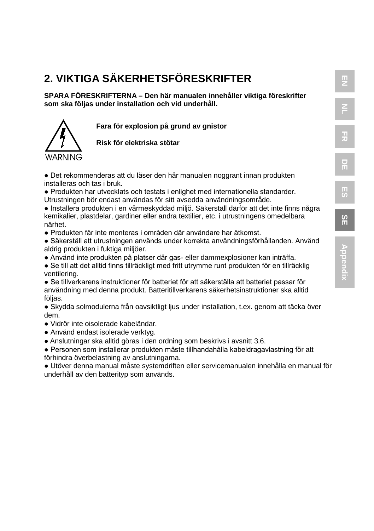**SPARA FÖRESKRIFTERNA – Den här manualen innehåller viktiga föreskrifter som ska följas under installation och vid underhåll.**

**Fara för explosion på grund av gnistor**



**Risk för elektriska stötar**

● Det rekommenderas att du läser den här manualen noggrant innan produkten installeras och tas i bruk.

● Produkten har utvecklats och testats i enlighet med internationella standarder. Utrustningen bör endast användas för sitt avsedda användningsområde.

● Installera produkten i en värmeskyddad miljö. Säkerställ därför att det inte finns några kemikalier, plastdelar, gardiner eller andra textilier, etc. i utrustningens omedelbara närhet.

● Produkten får inte monteras i områden där användare har åtkomst.

● Säkerställ att utrustningen används under korrekta användningsförhållanden. Använd aldrig produkten i fuktiga miljöer.

● Använd inte produkten på platser där gas- eller dammexplosioner kan inträffa.

● Se till att det alltid finns tillräckligt med fritt utrymme runt produkten för en tillräcklig ventilering.

● Se tillverkarens instruktioner för batteriet för att säkerställa att batteriet passar för användning med denna produkt. Batteritillverkarens säkerhetsinstruktioner ska alltid följas.

● Skydda solmodulerna från oavsiktligt ljus under installation, t.ex. genom att täcka över dem.

- Vidrör inte oisolerade kabeländar.
- Använd endast isolerade verktyg.
- Anslutningar ska alltid göras i den ordning som beskrivs i avsnitt 3.6.

● Personen som installerar produkten måste tillhandahålla kabeldragavlastning för att förhindra överbelastning av anslutningarna.

● Utöver denna manual måste systemdriften eller servicemanualen innehålla en manual för underhåll av den batterityp som används.

**EN**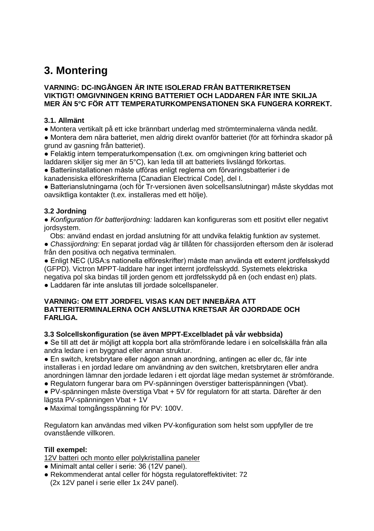### **3. Montering**

#### **VARNING: DC-INGÅNGEN ÄR INTE ISOLERAD FRÅN BATTERIKRETSEN VIKTIGT! OMGIVNINGEN KRING BATTERIET OCH LADDAREN FÅR INTE SKILJA MER ÄN 5°C FÖR ATT TEMPERATURKOMPENSATIONEN SKA FUNGERA KORREKT.**

#### **3.1. Allmänt**

● Montera vertikalt på ett icke brännbart underlag med strömterminalerna vända nedåt.

● Montera dem nära batteriet, men aldrig direkt ovanför batteriet (för att förhindra skador på grund av gasning från batteriet).

● Felaktig intern temperaturkompensation (t.ex. om omgivningen kring batteriet och laddaren skiljer sig mer än 5°C), kan leda till att batteriets livslängd förkortas.

● Batteriinstallationen måste utföras enligt reglerna om förvaringsbatterier i de kanadensiska elföreskrifterna [Canadian Electrical Code], del I.

● Batterianslutningarna (och för Tr-versionen även solcellsanslutningar) måste skyddas mot oavsiktliga kontakter (t.ex. installeras med ett hölje).

#### **3.2 Jordning**

*● Konfiguration för batterijordning:* laddaren kan konfigureras som ett positivt eller negativt jordsystem.

 Obs: använd endast en jordad anslutning för att undvika felaktig funktion av systemet. ● *Chassijordning:* En separat jordad väg är tillåten för chassijorden eftersom den är isolerad från den positiva och negativa terminalen.

● Enligt NEC (USA:s nationella elföreskrifter) måste man använda ett externt jordfelsskydd (GFPD). Victron MPPT-laddare har inget internt jordfelsskydd. Systemets elektriska negativa pol ska bindas till jorden genom ett jordfelsskydd på en (och endast en) plats.

● Laddaren får inte anslutas till jordade solcellspaneler.

#### **VARNING: OM ETT JORDFEL VISAS KAN DET INNEBÄRA ATT BATTERITERMINALERNA OCH ANSLUTNA KRETSAR ÄR OJORDADE OCH FARLIGA.**

#### **3.3 Solcellskonfiguration (se även MPPT-Excelbladet på vår webbsida)**

● Se till att det är möjligt att koppla bort alla strömförande ledare i en solcellskälla från alla andra ledare i en byggnad eller annan struktur.

● En switch, kretsbrytare eller någon annan anordning, antingen ac eller dc, får inte installeras i en jordad ledare om användning av den switchen, kretsbrytaren eller andra anordningen lämnar den jordade ledaren i ett ojordat läge medan systemet är strömförande.

● Regulatorn fungerar bara om PV-spänningen överstiger batterispänningen (Vbat).

● PV-spänningen måste överstiga Vbat + 5V för regulatorn för att starta. Därefter är den lägsta PV-spänningen Vbat + 1V

● Maximal tomgångsspänning för PV: 100V.

Regulatorn kan användas med vilken PV-konfiguration som helst som uppfyller de tre ovanstående villkoren.

#### **Till exempel:**

12V batteri och monto eller polykristallina paneler

- Minimalt antal celler i serie: 36 (12V panel).
- Rekommenderat antal celler för högsta regulatoreffektivitet: 72 (2x 12V panel i serie eller 1x 24V panel).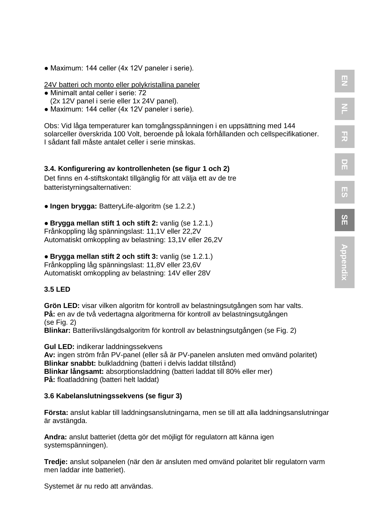● Maximum: 144 celler (4x 12V paneler i serie).

#### 24V batteri och monto eller polykristallina paneler

- Minimalt antal celler i serie: 72 (2x 12V panel i serie eller 1x 24V panel).
- Maximum: 144 celler (4x 12V paneler i serie).

Obs: Vid låga temperaturer kan tomgångsspänningen i en uppsättning med 144 solarceller överskrida 100 Volt, beroende på lokala förhållanden och cellspecifikationer. I sådant fall måste antalet celler i serie minskas.

**EN**

**NL**

**FR**

**DE**

**ES**

**SE**

#### **3.4. Konfigurering av kontrollenheten (se figur 1 och 2)**

Det finns en 4-stiftskontakt tillgänglig för att välja ett av de tre batteristyrningsalternativen:

● **Ingen brygga:** BatteryLife-algoritm (se 1.2.2.)

● **Brygga mellan stift 1 och stift 2:** vanlig (se 1.2.1.) Frånkoppling låg spänningslast: 11,1V eller 22,2V Automatiskt omkoppling av belastning: 13,1V eller 26,2V

#### ● **Brygga mellan stift 2 och stift 3:** vanlig (se 1.2.1.)

Frånkoppling låg spänningslast: 11,8V eller 23,6V Automatiskt omkoppling av belastning: 14V eller 28V

#### **3.5 LED**

**Grön LED:** visar vilken algoritm för kontroll av belastningsutgången som har valts. **På:** en av de två vedertagna algoritmerna för kontroll av belastningsutgången (se Fig. 2) **Blinkar:** Batterilivslängdsalgoritm för kontroll av belastningsutgången (se Fig. 2)

**Gul LED:** indikerar laddningssekvens **Av:** ingen ström från PV-panel (eller så är PV-panelen ansluten med omvänd polaritet) **Blinkar snabbt:** bulkladdning (batteri i delvis laddat tillstånd) **Blinkar långsamt:** absorptionsladdning (batteri laddat till 80% eller mer) **På:** floatladdning (batteri helt laddat)

#### **3.6 Kabelanslutningssekvens (se figur 3)**

**Första:** anslut kablar till laddningsanslutningarna, men se till att alla laddningsanslutningar är avstängda.

**Andra:** anslut batteriet (detta gör det möjligt för regulatorn att känna igen systemspänningen).

**Tredje:** anslut solpanelen (när den är ansluten med omvänd polaritet blir regulatorn varm men laddar inte batteriet).

Systemet är nu redo att användas.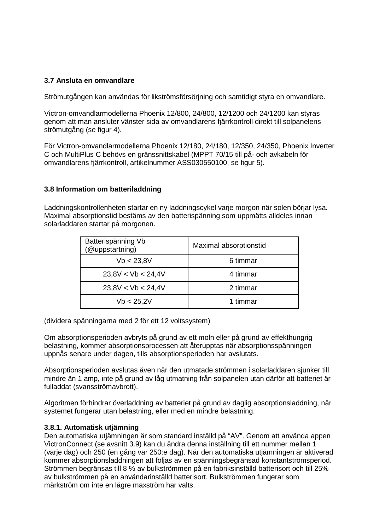#### **3.7 Ansluta en omvandlare**

Strömutgången kan användas för likströmsförsörjning och samtidigt styra en omvandlare.

Victron-omvandlarmodellerna Phoenix 12/800, 24/800, 12/1200 och 24/1200 kan styras genom att man ansluter vänster sida av omvandlarens fjärrkontroll direkt till solpanelens strömutgång (se figur 4).

För Victron-omvandlarmodellerna Phoenix 12/180, 24/180, 12/350, 24/350, Phoenix Inverter C och MultiPlus C behövs en gränssnittskabel (MPPT 70/15 till på- och avkabeln för omvandlarens fjärrkontroll, artikelnummer ASS030550100, se figur 5).

#### **3.8 Information om batteriladdning**

Laddningskontrollenheten startar en ny laddningscykel varje morgon när solen börjar lysa. Maximal absorptionstid bestäms av den batterispänning som uppmätts alldeles innan solarladdaren startar på morgonen.

| Batterispänning Vb<br>(@uppstartning) | Maximal absorptionstid |  |  |
|---------------------------------------|------------------------|--|--|
| Vb < 23.8V                            | 6 timmar               |  |  |
| 23.8V < Vb < 24.4V                    | 4 timmar               |  |  |
| 23.8V < Vb < 24.4V                    | 2 timmar               |  |  |
| Vb < 25.2V                            | 1 timmar               |  |  |

(dividera spänningarna med 2 för ett 12 voltssystem)

Om absorptionsperioden avbryts på grund av ett moln eller på grund av effekthungrig belastning, kommer absorptionsprocessen att återupptas när absorptionsspänningen uppnås senare under dagen, tills absorptionsperioden har avslutats.

Absorptionsperioden avslutas även när den utmatade strömmen i solarladdaren sjunker till mindre än 1 amp, inte på grund av låg utmatning från solpanelen utan därför att batteriet är fulladdat (svansströmavbrott).

Algoritmen förhindrar överladdning av batteriet på grund av daglig absorptionsladdning, när systemet fungerar utan belastning, eller med en mindre belastning.

#### **3.8.1. Automatisk utjämning**

Den automatiska utjämningen är som standard inställd på "AV". Genom att använda appen VictronConnect (se avsnitt 3.9) kan du ändra denna inställning till ett nummer mellan 1 (varje dag) och 250 (en gång var 250:e dag). När den automatiska utjämningen är aktiverad kommer absorptionsladdningen att följas av en spänningsbegränsad konstantströmsperiod. Strömmen begränsas till 8 % av bulkströmmen på en fabriksinställd batterisort och till 25% av bulkströmmen på en användarinställd batterisort. Bulkströmmen fungerar som märkström om inte en lägre maxström har valts.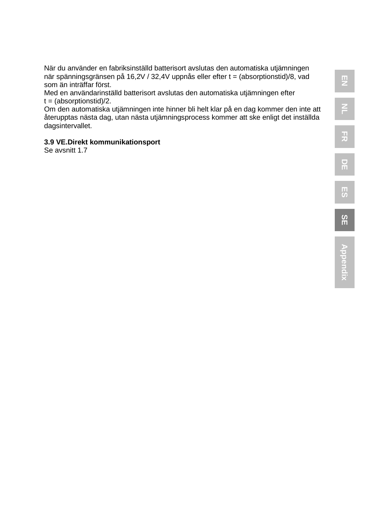När du använder en fabriksinställd batterisort avslutas den automatiska utjämningen när spänningsgränsen på 16,2V / 32,4V uppnås eller efter t = (absorptionstid)/8, vad som än inträffar först.

Med en användarinställd batterisort avslutas den automatiska utjämningen efter  $t = (absorptionstid)/2.$ 

Om den automatiska utjämningen inte hinner bli helt klar på en dag kommer den inte att återupptas nästa dag, utan nästa utjämningsprocess kommer att ske enligt det inställda dagsintervallet.

#### **3.9 VE.Direkt kommunikationsport**

Se avsnitt 1.7

**SE**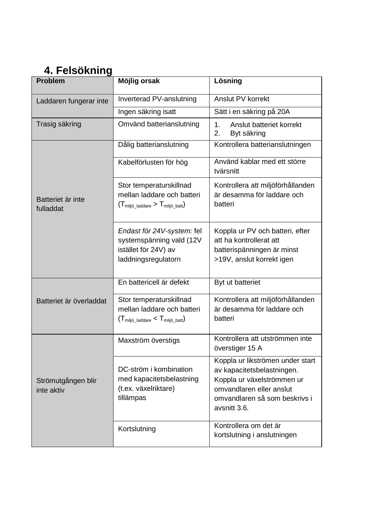### **4. Felsökning**

| Problem                          | Möjlig orsak                                                                                                    | Lösning                                                                                                                                                                   |  |
|----------------------------------|-----------------------------------------------------------------------------------------------------------------|---------------------------------------------------------------------------------------------------------------------------------------------------------------------------|--|
| Laddaren fungerar inte           | Inverterad PV-anslutning                                                                                        | Anslut PV korrekt                                                                                                                                                         |  |
|                                  | Ingen säkring isatt                                                                                             | Sätt i en säkring på 20A                                                                                                                                                  |  |
| Trasig säkring                   | Omvänd batterianslutning                                                                                        | Anslut batteriet korrekt<br>1.<br>2.<br>Byt säkring                                                                                                                       |  |
|                                  | Dålig batterianslutning                                                                                         | Kontrollera batterianslutningen                                                                                                                                           |  |
|                                  | Kabelförlusten för hög                                                                                          | Använd kablar med ett större<br>tvärsnitt                                                                                                                                 |  |
| Batteriet är inte<br>fulladdat   | Stor temperaturskillnad<br>mellan laddare och batteri<br>$(T_{\text{miljö\_laddare}} > T_{\text{miljö\_batt}})$ | Kontrollera att miljöförhållanden<br>är desamma för laddare och<br>batteri                                                                                                |  |
|                                  | Endast för 24V-system: fel<br>systemspänning vald (12V<br>istället för 24V) av<br>laddningsregulatorn           | Koppla ur PV och batteri, efter<br>att ha kontrollerat att<br>batterispänningen är minst<br>>19V, anslut korrekt igen                                                     |  |
|                                  | En battericell är defekt                                                                                        | Byt ut batteriet                                                                                                                                                          |  |
| Batteriet är överladdat          | Stor temperaturskillnad<br>mellan laddare och batteri<br>$(T_{\text{miliö ladder}} < T_{\text{miliö batt}})$    | Kontrollera att miljöförhållanden<br>är desamma för laddare och<br>batteri                                                                                                |  |
|                                  | Maxström överstigs                                                                                              | Kontrollera att utströmmen inte<br>överstiger 15 A                                                                                                                        |  |
| Strömutgången blir<br>inte aktiv | DC-ström i kombination<br>med kapacitetsbelastning<br>(t.ex. växelriktare)<br>tillämpas                         | Koppla ur likströmen under start<br>av kapacitetsbelastningen.<br>Koppla ur växelströmmen ur<br>omvandlaren eller anslut<br>omvandlaren så som beskrivs i<br>avsnitt 3.6. |  |
|                                  | Kortslutning                                                                                                    | Kontrollera om det är<br>kortslutning i anslutningen                                                                                                                      |  |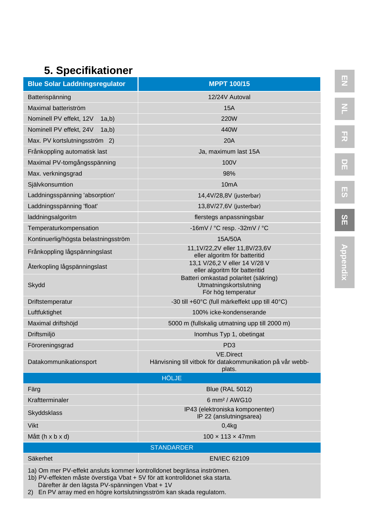### **5. Specifikationer**

| <b>Blue Solar Laddningsregulator</b>                                  | <b>MPPT 100/15</b>                                                                      |  |  |  |
|-----------------------------------------------------------------------|-----------------------------------------------------------------------------------------|--|--|--|
| Batterispänning                                                       | 12/24V Autoval                                                                          |  |  |  |
| Maximal batteriström                                                  | <b>15A</b>                                                                              |  |  |  |
| Nominell PV effekt, 12V<br>1a,b)                                      | <b>220W</b>                                                                             |  |  |  |
| Nominell PV effekt, 24V<br>(a,b)                                      | 440W                                                                                    |  |  |  |
| Max. PV kortslutningsström 2)                                         | 20A                                                                                     |  |  |  |
| Frånkoppling automatisk last                                          | Ja, maximum last 15A                                                                    |  |  |  |
| Maximal PV-tomgångsspänning                                           | 100V                                                                                    |  |  |  |
| Max. verkningsgrad                                                    | 98%                                                                                     |  |  |  |
| Självkonsumtion                                                       | 10 <sub>m</sub> A                                                                       |  |  |  |
| Laddningsspänning 'absorption'                                        | 14,4V/28,8V (justerbar)                                                                 |  |  |  |
| Laddningsspänning 'float'                                             | 13,8V/27,6V (justerbar)                                                                 |  |  |  |
| laddningsalgoritm                                                     | flerstegs anpassningsbar                                                                |  |  |  |
| Temperaturkompensation                                                | -16mV / °C resp. -32mV / °C                                                             |  |  |  |
| Kontinuerlig/högsta belastningsström                                  | 15A/50A                                                                                 |  |  |  |
| Frånkoppling lågspänningslast                                         | 11,1V/22,2V eller 11,8V/23,6V<br>eller algoritm för batteritid                          |  |  |  |
| Aterkopling lågspänningslast                                          | 13,1 V/26,2 V eller 14 V/28 V<br>eller algoritm för batteritid                          |  |  |  |
| Skydd                                                                 | Batteri omkastad polaritet (säkring)<br>Utmatningskortslutning<br>För hög temperatur    |  |  |  |
| Driftstemperatur                                                      | -30 till +60°C (full märkeffekt upp till 40°C)                                          |  |  |  |
| Luftfuktighet                                                         | 100% icke-kondenserande                                                                 |  |  |  |
| Maximal driftshöjd                                                    | 5000 m (fullskalig utmatning upp till 2000 m)                                           |  |  |  |
| Driftsmiljö                                                           | Inomhus Typ 1, obetingat                                                                |  |  |  |
| Föroreningsgrad                                                       | PD <sub>3</sub>                                                                         |  |  |  |
| Datakommunikationsport                                                | <b>VE.Direct</b><br>Hänvisning till vitbok för datakommunikation på vår webb-<br>plats. |  |  |  |
|                                                                       | <b>HÖLJE</b>                                                                            |  |  |  |
| Färg                                                                  | <b>Blue (RAL 5012)</b>                                                                  |  |  |  |
| Kraftterminaler                                                       | 6 mm <sup>2</sup> / AWG10                                                               |  |  |  |
| Skyddsklass                                                           | IP43 (elektroniska komponenter)<br>IP 22 (anslutningsarea)                              |  |  |  |
| Vikt                                                                  | 0.4 <sub>kq</sub>                                                                       |  |  |  |
| Mått (h x b x d)                                                      | $100 \times 113 \times 47$ mm                                                           |  |  |  |
|                                                                       | <b>STANDARDER</b>                                                                       |  |  |  |
| Säkerhet                                                              | <b>EN/IEC 62109</b>                                                                     |  |  |  |
| 1a) Om mer PV-effekt ansluts kommer kontrolldonet begränsa inströmen. |                                                                                         |  |  |  |

1a) Om mer PV-effekt ansluts kommer kontrolldonet begränsa inströmen.

1b) PV-effekten måste överstiga Vbat + 5V för att kontrolldonet ska starta. Därefter är den lägsta PV-spänningen Vbat + 1V

2) En PV array med en högre kortslutningsström kan skada regulatorn.

**FR DE SE**

**图**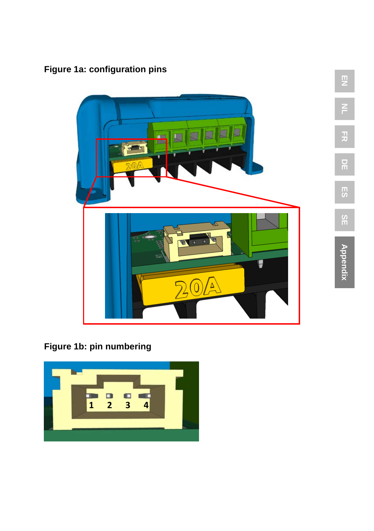**Figure 1a: configuration pins**



**Figure 1b: pin numbering**

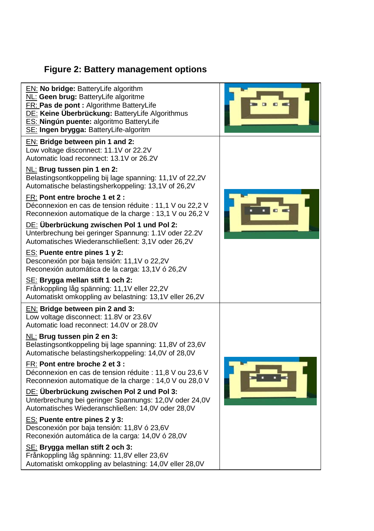### **Figure 2: Battery management options**

| EN: No bridge: BatteryLife algorithm<br>NL: Geen brug: BatteryLife algoritme<br>FR: Pas de pont : Algorithme BatteryLife<br>DE: Keine Überbrückung: BatteryLife Algorithmus<br>ES: Ningún puente: algoritmo BatteryLife<br>SE: Ingen brygga: BatteryLife-algoritm                                                                                                                                                                                                                                                                                                                                                                                                                                                                                                                                                                                                                |  |
|----------------------------------------------------------------------------------------------------------------------------------------------------------------------------------------------------------------------------------------------------------------------------------------------------------------------------------------------------------------------------------------------------------------------------------------------------------------------------------------------------------------------------------------------------------------------------------------------------------------------------------------------------------------------------------------------------------------------------------------------------------------------------------------------------------------------------------------------------------------------------------|--|
| EN: Bridge between pin 1 and 2:<br>Low voltage disconnect: 11.1V or 22.2V<br>Automatic load reconnect: 13.1V or 26.2V<br>NL: Brug tussen pin 1 en 2:<br>Belastingsontkoppeling bij lage spanning: 11,1V of 22,2V<br>Automatische belastingsherkoppeling: 13,1V of 26,2V<br>FR: Pont entre broche 1 et 2 :<br>Déconnexion en cas de tension réduite : 11,1 V ou 22,2 V<br>Reconnexion automatique de la charge : 13,1 V ou 26,2 V<br>DE: Überbrückung zwischen Pol 1 und Pol 2:                                                                                                                                                                                                                                                                                                                                                                                                   |  |
| Unterbrechung bei geringer Spannung: 1.1V oder 22.2V<br>Automatisches Wiederanschließent: 3,1V oder 26,2V<br>ES: Puente entre pines 1 y 2:<br>Desconexión por baja tensión: 11,1V o 22,2V<br>Reconexión automática de la carga: 13,1V ó 26,2V<br>SE: Brygga mellan stift 1 och 2:<br>Frånkoppling låg spänning: 11,1V eller 22,2V<br>Automatiskt omkoppling av belastning: 13,1V eller 26,2V                                                                                                                                                                                                                                                                                                                                                                                                                                                                                     |  |
| EN: Bridge between pin 2 and 3:<br>Low voltage disconnect: 11.8V or 23.6V<br>Automatic load reconnect: 14.0V or 28.0V<br>NL: Brug tussen pin 2 en 3:<br>Belastingsontkoppeling bij lage spanning: 11,8V of 23,6V<br>Automatische belastingsherkoppeling: 14,0V of 28,0V<br>FR: Pont entre broche 2 et 3 :<br>Déconnexion en cas de tension réduite : 11,8 V ou 23,6 V<br>Reconnexion automatique de la charge : 14,0 V ou 28,0 V<br>DE: Überbrückung zwischen Pol 2 und Pol 3:<br>Unterbrechung bei geringer Spannungs: 12,0V oder 24,0V<br>Automatisches Wiederanschließen: 14,0V oder 28,0V<br>ES: Puente entre pines 2 y 3:<br>Desconexión por baja tensión: 11,8V ó 23,6V<br>Reconexión automática de la carga: 14,0V ó 28,0V<br>SE: Brygga mellan stift 2 och 3:<br>Frånkoppling låg spänning: 11,8V eller 23,6V<br>Automatiskt omkoppling av belastning: 14,0V eller 28,0V |  |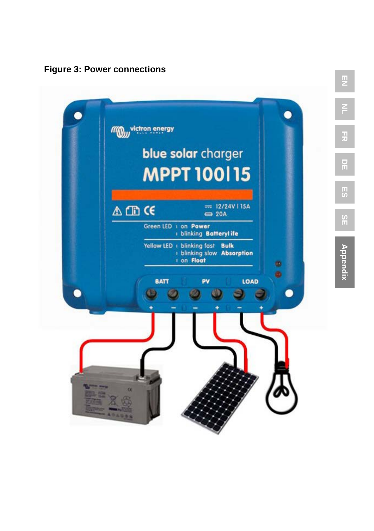**Figure 3: Power connections**



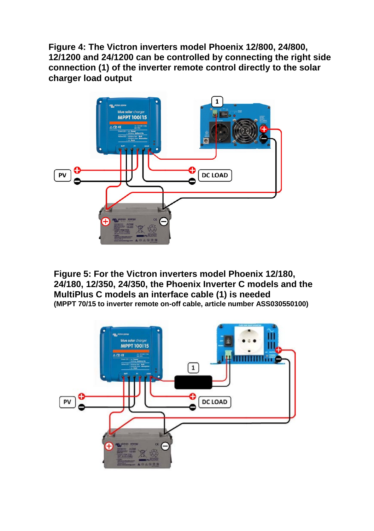**Figure 4: The Victron inverters model Phoenix 12/800, 24/800, 12/1200 and 24/1200 can be controlled by connecting the right side connection (1) of the inverter remote control directly to the solar charger load output**



**Figure 5: For the Victron inverters model Phoenix 12/180, 24/180, 12/350, 24/350, the Phoenix Inverter C models and the MultiPlus C models an interface cable (1) is needed (MPPT 70/15 to inverter remote on-off cable, article number ASS030550100)**